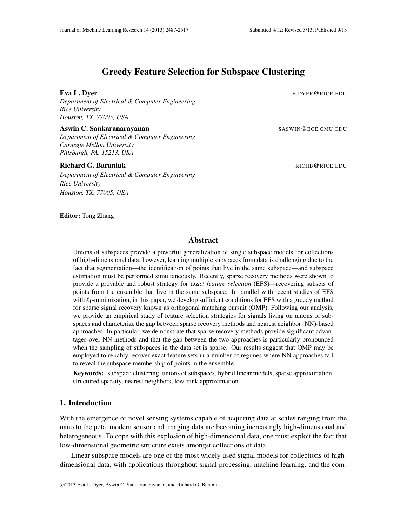# Greedy Feature Selection for Subspace Clustering

Eva L. Dyer E.DYER@RICE.EDU

*Department of Electrical & Computer Engineering Rice University Houston, TX, 77005, USA*

Aswin C. Sankaranarayanan SASWIN@ECE.CMU.EDU *Department of Electrical & Computer Engineering*

*Carnegie Mellon University Pittsburgh, PA, 15213, USA*

# Richard G. Baraniuk **Richard G. Baraniuk** RICHB **RICHB RICHB RICHB RICHB RICHB RICHB RICHB RICHB RICHB RICHB RICHB RICHB RICHB RICHB RICHB RICHB RICHB RICHB RICHB RICHB RICHB RICHB**

*Department of Electrical & Computer Engineering Rice University Houston, TX, 77005, USA*

Editor: Tong Zhang

# Abstract

Unions of subspaces provide a powerful generalization of single subspace models for collections of high-dimensional data; however, learning multiple subspaces from data is challenging due to the fact that segmentation—the identification of points that live in the same subspace—and subspace estimation must be performed simultaneously. Recently, sparse recovery methods were shown to provide a provable and robust strategy for *exact feature selection* (EFS)—recovering subsets of points from the ensemble that live in the same subspace. In parallel with recent studies of EFS with  $\ell_1$ -minimization, in this paper, we develop sufficient conditions for EFS with a greedy method for sparse signal recovery known as orthogonal matching pursuit (OMP). Following our analysis, we provide an empirical study of feature selection strategies for signals living on unions of subspaces and characterize the gap between sparse recovery methods and nearest neighbor (NN)-based approaches. In particular, we demonstrate that sparse recovery methods provide significant advantages over NN methods and that the gap between the two approaches is particularly pronounced when the sampling of subspaces in the data set is sparse. Our results suggest that OMP may be employed to reliably recover exact feature sets in a number of regimes where NN approaches fail to reveal the subspace membership of points in the ensemble.

Keywords: subspace clustering, unions of subspaces, hybrid linear models, sparse approximation, structured sparsity, nearest neighbors, low-rank approximation

# 1. Introduction

With the emergence of novel sensing systems capable of acquiring data at scales ranging from the nano to the peta, modern sensor and imaging data are becoming increasingly high-dimensional and heterogeneous. To cope with this explosion of high-dimensional data, one must exploit the fact that low-dimensional geometric structure exists amongst collections of data.

Linear subspace models are one of the most widely used signal models for collections of highdimensional data, with applications throughout signal processing, machine learning, and the com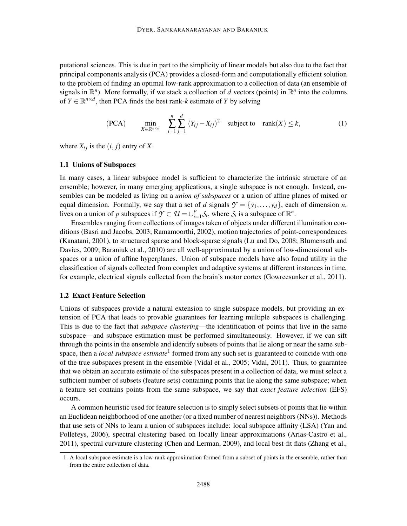putational sciences. This is due in part to the simplicity of linear models but also due to the fact that principal components analysis (PCA) provides a closed-form and computationally efficient solution to the problem of finding an optimal low-rank approximation to a collection of data (an ensemble of signals in  $\mathbb{R}^n$ ). More formally, if we stack a collection of *d* vectors (points) in  $\mathbb{R}^n$  into the columns of  $Y \in \mathbb{R}^{n \times d}$ , then PCA finds the best rank-*k* estimate of *Y* by solving

$$
\text{(PCA)} \qquad \min_{X \in \mathbb{R}^{n \times d}} \quad \sum_{i=1}^{n} \sum_{j=1}^{d} \left( Y_{ij} - X_{ij} \right)^2 \quad \text{subject to} \quad \text{rank}(X) \le k, \tag{1}
$$

where  $X_{ij}$  is the  $(i, j)$  entry of  $X$ .

# 1.1 Unions of Subspaces

In many cases, a linear subspace model is sufficient to characterize the intrinsic structure of an ensemble; however, in many emerging applications, a single subspace is not enough. Instead, ensembles can be modeled as living on a *union of subspaces* or a union of affine planes of mixed or equal dimension. Formally, we say that a set of *d* signals  $\mathcal{Y} = \{y_1, \ldots, y_d\}$ , each of dimension *n*, lives on a union of *p* subspaces if  $\mathcal{Y} \subset \mathcal{U} = \cup_{i=1}^p$  $_{i=1}^{p} S_i$ , where  $S_i$  is a subspace of  $\mathbb{R}^n$ .

Ensembles ranging from collections of images taken of objects under different illumination conditions (Basri and Jacobs, 2003; Ramamoorthi, 2002), motion trajectories of point-correspondences (Kanatani, 2001), to structured sparse and block-sparse signals (Lu and Do, 2008; Blumensath and Davies, 2009; Baraniuk et al., 2010) are all well-approximated by a union of low-dimensional subspaces or a union of affine hyperplanes. Union of subspace models have also found utility in the classification of signals collected from complex and adaptive systems at different instances in time, for example, electrical signals collected from the brain's motor cortex (Gowreesunker et al., 2011).

# 1.2 Exact Feature Selection

Unions of subspaces provide a natural extension to single subspace models, but providing an extension of PCA that leads to provable guarantees for learning multiple subspaces is challenging. This is due to the fact that *subspace clustering*—the identification of points that live in the same subspace—and subspace estimation must be performed simultaneously. However, if we can sift through the points in the ensemble and identify subsets of points that lie along or near the same subspace, then a *local subspace estimate*<sup>1</sup> formed from any such set is guaranteed to coincide with one of the true subspaces present in the ensemble (Vidal et al., 2005; Vidal, 2011). Thus, to guarantee that we obtain an accurate estimate of the subspaces present in a collection of data, we must select a sufficient number of subsets (feature sets) containing points that lie along the same subspace; when a feature set contains points from the same subspace, we say that *exact feature selection* (EFS) occurs.

A common heuristic used for feature selection is to simply select subsets of points that lie within an Euclidean neighborhood of one another (or a fixed number of nearest neighbors (NNs)). Methods that use sets of NNs to learn a union of subspaces include: local subspace affinity (LSA) (Yan and Pollefeys, 2006), spectral clustering based on locally linear approximations (Arias-Castro et al., 2011), spectral curvature clustering (Chen and Lerman, 2009), and local best-fit flats (Zhang et al.,

<sup>1.</sup> A local subspace estimate is a low-rank approximation formed from a subset of points in the ensemble, rather than from the entire collection of data.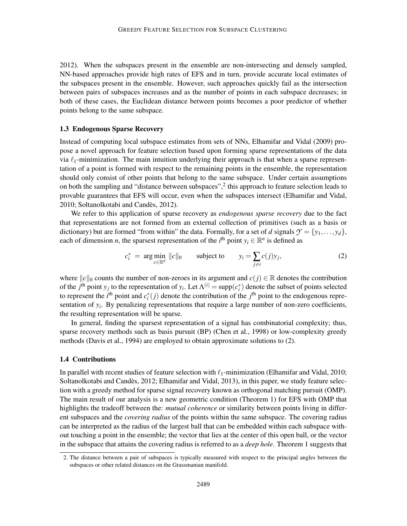2012). When the subspaces present in the ensemble are non-intersecting and densely sampled, NN-based approaches provide high rates of EFS and in turn, provide accurate local estimates of the subspaces present in the ensemble. However, such approaches quickly fail as the intersection between pairs of subspaces increases and as the number of points in each subspace decreases; in both of these cases, the Euclidean distance between points becomes a poor predictor of whether points belong to the same subspace.

#### 1.3 Endogenous Sparse Recovery

Instead of computing local subspace estimates from sets of NNs, Elhamifar and Vidal (2009) propose a novel approach for feature selection based upon forming sparse representations of the data via  $\ell_1$ -minimization. The main intuition underlying their approach is that when a sparse representation of a point is formed with respect to the remaining points in the ensemble, the representation should only consist of other points that belong to the same subspace. Under certain assumptions on both the sampling and "distance between subspaces", $<sup>2</sup>$  this approach to feature selection leads to</sup> provable guarantees that EFS will occur, even when the subspaces intersect (Elhamifar and Vidal, 2010; Soltanolkotabi and Candès, 2012).

We refer to this application of sparse recovery as *endogenous sparse recovery* due to the fact that representations are not formed from an external collection of primitives (such as a basis or dictionary) but are formed "from within" the data. Formally, for a set of *d* signals  $\mathcal{Y} = \{y_1, \ldots, y_d\}$ , each of dimension *n*, the sparsest representation of the *i*<sup>th</sup> point  $y_i \in \mathbb{R}^n$  is defined as

$$
c_i^* = \arg\min_{c \in \mathbb{R}^d} \|c\|_0 \qquad \text{subject to} \qquad y_i = \sum_{j \neq i} c(j)y_j,\tag{2}
$$

where  $||c||_0$  counts the number of non-zeroes in its argument and  $c(j) \in \mathbb{R}$  denotes the contribution of the *j*<sup>th</sup> point *y<sub>j</sub>* to the representation of *y<sub>i</sub>*. Let  $\Lambda^{(i)} = \text{supp}(c_i^*)$  denote the subset of points selected to represent the  $i^{\text{th}}$  point and  $c_i^*(j)$  denote the contribution of the  $j^{\text{th}}$  point to the endogenous representation of  $y_i$ . By penalizing representations that require a large number of non-zero coefficients, the resulting representation will be sparse.

In general, finding the sparsest representation of a signal has combinatorial complexity; thus, sparse recovery methods such as basis pursuit (BP) (Chen et al., 1998) or low-complexity greedy methods (Davis et al., 1994) are employed to obtain approximate solutions to (2).

#### 1.4 Contributions

In parallel with recent studies of feature selection with  $\ell_1$ -minimization (Elhamifar and Vidal, 2010; Soltanolkotabi and Candès, 2012; Elhamifar and Vidal, 2013), in this paper, we study feature selection with a greedy method for sparse signal recovery known as orthogonal matching pursuit (OMP). The main result of our analysis is a new geometric condition (Theorem 1) for EFS with OMP that highlights the tradeoff between the: *mutual coherence* or similarity between points living in different subspaces and the *covering radius* of the points within the same subspace. The covering radius can be interpreted as the radius of the largest ball that can be embedded within each subspace without touching a point in the ensemble; the vector that lies at the center of this open ball, or the vector in the subspace that attains the covering radius is referred to as a *deep hole*. Theorem 1 suggests that

<sup>2.</sup> The distance between a pair of subspaces is typically measured with respect to the principal angles between the subspaces or other related distances on the Grassmanian manifold.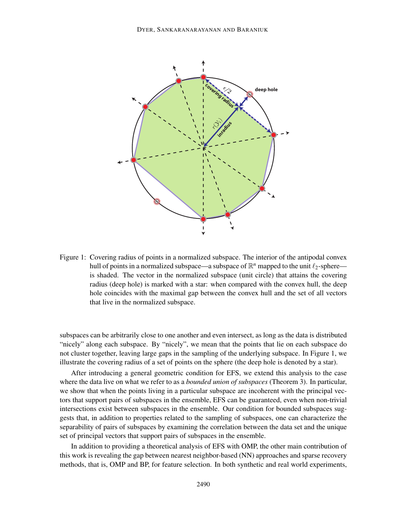

Figure 1: Covering radius of points in a normalized subspace. The interior of the antipodal convex hull of points in a normalized subspace—a subspace of  $\mathbb{R}^n$  mapped to the unit  $\ell_2$ -sphere is shaded. The vector in the normalized subspace (unit circle) that attains the covering radius (deep hole) is marked with a star: when compared with the convex hull, the deep hole coincides with the maximal gap between the convex hull and the set of all vectors that live in the normalized subspace.

subspaces can be arbitrarily close to one another and even intersect, as long as the data is distributed "nicely" along each subspace. By "nicely", we mean that the points that lie on each subspace do not cluster together, leaving large gaps in the sampling of the underlying subspace. In Figure 1, we illustrate the covering radius of a set of points on the sphere (the deep hole is denoted by a star).

After introducing a general geometric condition for EFS, we extend this analysis to the case where the data live on what we refer to as a *bounded union of subspaces* (Theorem 3). In particular, we show that when the points living in a particular subspace are incoherent with the principal vectors that support pairs of subspaces in the ensemble, EFS can be guaranteed, even when non-trivial intersections exist between subspaces in the ensemble. Our condition for bounded subspaces suggests that, in addition to properties related to the sampling of subspaces, one can characterize the separability of pairs of subspaces by examining the correlation between the data set and the unique set of principal vectors that support pairs of subspaces in the ensemble.

In addition to providing a theoretical analysis of EFS with OMP, the other main contribution of this work is revealing the gap between nearest neighbor-based (NN) approaches and sparse recovery methods, that is, OMP and BP, for feature selection. In both synthetic and real world experiments,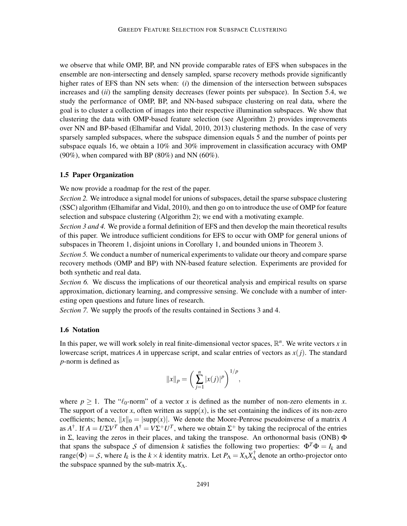we observe that while OMP, BP, and NN provide comparable rates of EFS when subspaces in the ensemble are non-intersecting and densely sampled, sparse recovery methods provide significantly higher rates of EFS than NN sets when: (*i*) the dimension of the intersection between subspaces increases and (*ii*) the sampling density decreases (fewer points per subspace). In Section 5.4, we study the performance of OMP, BP, and NN-based subspace clustering on real data, where the goal is to cluster a collection of images into their respective illumination subspaces. We show that clustering the data with OMP-based feature selection (see Algorithm 2) provides improvements over NN and BP-based (Elhamifar and Vidal, 2010, 2013) clustering methods. In the case of very sparsely sampled subspaces, where the subspace dimension equals 5 and the number of points per subspace equals 16, we obtain a 10% and 30% improvement in classification accuracy with OMP (90%), when compared with BP (80%) and NN (60%).

# 1.5 Paper Organization

We now provide a roadmap for the rest of the paper.

*Section 2.* We introduce a signal model for unions of subspaces, detail the sparse subspace clustering (SSC) algorithm (Elhamifar and Vidal, 2010), and then go on to introduce the use of OMP for feature selection and subspace clustering (Algorithm 2); we end with a motivating example.

*Section 3 and 4.* We provide a formal definition of EFS and then develop the main theoretical results of this paper. We introduce sufficient conditions for EFS to occur with OMP for general unions of subspaces in Theorem 1, disjoint unions in Corollary 1, and bounded unions in Theorem 3.

*Section 5.* We conduct a number of numerical experiments to validate our theory and compare sparse recovery methods (OMP and BP) with NN-based feature selection. Experiments are provided for both synthetic and real data.

*Section 6.* We discuss the implications of our theoretical analysis and empirical results on sparse approximation, dictionary learning, and compressive sensing. We conclude with a number of interesting open questions and future lines of research.

*Section 7.* We supply the proofs of the results contained in Sections 3 and 4.

# 1.6 Notation

In this paper, we will work solely in real finite-dimensional vector spaces,  $\mathbb{R}^n$ . We write vectors *x* in lowercase script, matrices A in uppercase script, and scalar entries of vectors as  $x(j)$ . The standard *p*-norm is defined as

$$
||x||_p = \left(\sum_{j=1}^n |x(j)|^p\right)^{1/p},
$$

where  $p \ge 1$ . The " $\ell_0$ -norm" of a vector *x* is defined as the number of non-zero elements in *x*. The support of a vector *x*, often written as supp $(x)$ , is the set containing the indices of its non-zero coefficients; hence,  $||x||_0 = |supp(x)|$ . We denote the Moore-Penrose pseudoinverse of a matrix *A* as  $A^{\dagger}$ . If  $A = U\Sigma V^T$  then  $A^{\dagger} = V\Sigma^+ U^T$ , where we obtain  $\Sigma^+$  by taking the reciprocal of the entries in Σ, leaving the zeros in their places, and taking the transpose. An orthonormal basis (ONB)  $\Phi$ that spans the subspace *S* of dimension *k* satisfies the following two properties:  $\Phi^T \Phi = I_k$  and range( $\Phi$ ) = *S*, where *I<sub>k</sub>* is the *k* × *k* identity matrix. Let  $P_{\Lambda} = X_{\Lambda} X_{\Lambda}^{\dagger}$  $\Lambda$  denote an ortho-projector onto the subspace spanned by the sub-matrix  $X_\Lambda$ .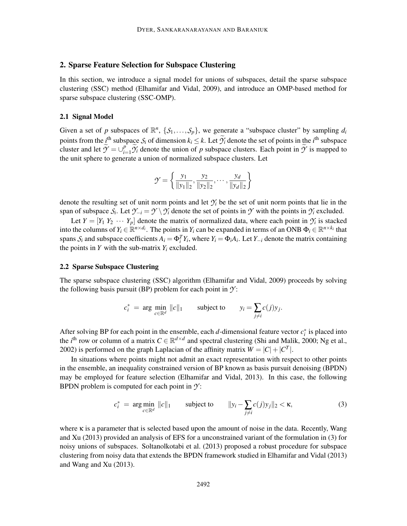# 2. Sparse Feature Selection for Subspace Clustering

In this section, we introduce a signal model for unions of subspaces, detail the sparse subspace clustering (SSC) method (Elhamifar and Vidal, 2009), and introduce an OMP-based method for sparse subspace clustering (SSC-OMP).

#### 2.1 Signal Model

Given a set of *p* subspaces of  $\mathbb{R}^n$ ,  $\{S_1, \ldots, S_p\}$ , we generate a "subspace cluster" by sampling  $d_i$ points from the  $i^{\text{th}}$  subspace  $S_i$  of dimension  $k_i \leq k$ . Let  $\mathcal{Y}_i$  denote the set of points in the  $i^{\text{th}}$  subspace cluster and let  $\widetilde{\mathcal{Y}} = \bigcup_{i=1}^p \widetilde{\mathcal{Y}}_i$  denote the union of *p* subspace clusters. Each point in  $\widetilde{\mathcal{Y}}$  is mapped to the unit sphere to generate a union of normalized subspace clusters. Let

$$
\mathcal{Y} = \left\{ \frac{y_1}{\|y_1\|_2}, \frac{y_2}{\|y_2\|_2}, \dots, \frac{y_d}{\|y_d\|_2} \right\}
$$

denote the resulting set of unit norm points and let  $\gamma$ <sup>*i*</sup> be the set of unit norm points that lie in the span of subspace  $S_i$ . Let  $\mathcal{Y}_{-i} = \mathcal{Y} \setminus \mathcal{Y}_i$  denote the set of points in  $\mathcal{Y}$  with the points in  $\mathcal{Y}_i$  excluded.

Let  $Y = [Y_1 \ Y_2 \ \cdots \ Y_p]$  denote the matrix of normalized data, where each point in  $\mathcal{Y}_i$  is stacked into the columns of  $Y_i \in \mathbb{R}^{n \times d_i}$ . The points in  $Y_i$  can be expanded in terms of an ONB  $\Phi_i \in \mathbb{R}^{n \times k_i}$  that spans  $S_i$  and subspace coefficients  $A_i = \Phi_i^T Y_i$ , where  $Y_i = \Phi_i A_i$ . Let  $Y_{-i}$  denote the matrix containing the points in *Y* with the sub-matrix  $Y_i$  excluded.

## 2.2 Sparse Subspace Clustering

The sparse subspace clustering (SSC) algorithm (Elhamifar and Vidal, 2009) proceeds by solving the following basis pursuit (BP) problem for each point in  $\mathcal{Y}$ :

$$
c_i^*
$$
 = arg min <sub>$c \in \mathbb{R}^d$</sub>  || $c||_1$  subject to  $y_i = \sum_{j \neq i} c(j)y_j$ .

After solving BP for each point in the ensemble, each  $d$ -dimensional feature vector  $c_i^*$  is placed into the *i*<sup>th</sup> row or column of a matrix  $C \in \mathbb{R}^{d \times d}$  and spectral clustering (Shi and Malik, 2000; Ng et al., 2002) is performed on the graph Laplacian of the affinity matrix  $W = |C| + |C<sup>T</sup>|$ .

In situations where points might not admit an exact representation with respect to other points in the ensemble, an inequality constrained version of BP known as basis pursuit denoising (BPDN) may be employed for feature selection (Elhamifar and Vidal, 2013). In this case, the following BPDN problem is computed for each point in *Y* :

$$
c_i^* = \arg\min_{c \in \mathbb{R}^d} \|c\|_1 \qquad \text{subject to} \qquad \|y_i - \sum_{j \neq i} c(j)y_j\|_2 < \kappa,\tag{3}
$$

where  $\kappa$  is a parameter that is selected based upon the amount of noise in the data. Recently, Wang and Xu (2013) provided an analysis of EFS for a unconstrained variant of the formulation in (3) for noisy unions of subspaces. Soltanolkotabi et al. (2013) proposed a robust procedure for subspace clustering from noisy data that extends the BPDN framework studied in Elhamifar and Vidal (2013) and Wang and Xu (2013).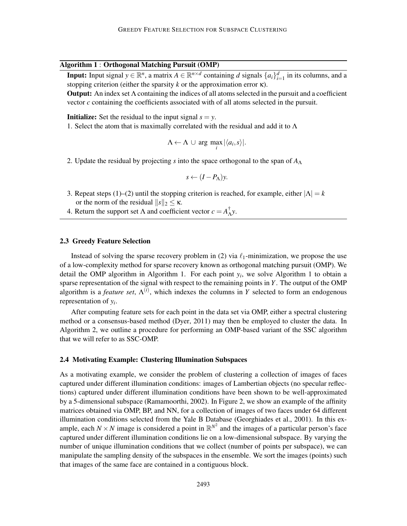# Algorithm 1 : Orthogonal Matching Pursuit (OMP)

**Input:** Input signal  $y \in \mathbb{R}^n$ , a matrix  $A \in \mathbb{R}^{n \times d}$  containing *d* signals  $\{a_i\}_{i=1}^d$  in its columns, and a stopping criterion (either the sparsity  $k$  or the approximation error  $\kappa$ ).

Output: An index set Λ containing the indices of all atoms selected in the pursuit and a coefficient vector *c* containing the coefficients associated with of all atoms selected in the pursuit.

**Initialize:** Set the residual to the input signal  $s = y$ .

1. Select the atom that is maximally correlated with the residual and add it to  $\Lambda$ 

$$
\Lambda \leftarrow \Lambda \cup \arg \max_{i} |\langle a_i, s \rangle|.
$$

2. Update the residual by projecting *s* into the space orthogonal to the span of  $A_\Lambda$ 

$$
s \leftarrow (I - P_{\Lambda})y.
$$

- 3. Repeat steps (1)–(2) until the stopping criterion is reached, for example, either  $|\Lambda| = k$ or the norm of the residual  $||s||_2 \le \kappa$ .
- 4. Return the support set  $\Lambda$  and coefficient vector  $c = A_{\Lambda}^{\dagger}$ Λ *y*.

## 2.3 Greedy Feature Selection

Instead of solving the sparse recovery problem in (2) via  $\ell_1$ -minimization, we propose the use of a low-complexity method for sparse recovery known as orthogonal matching pursuit (OMP). We detail the OMP algorithm in Algorithm 1. For each point  $y_i$ , we solve Algorithm 1 to obtain a sparse representation of the signal with respect to the remaining points in *Y*. The output of the OMP algorithm is a *feature set*,  $\Lambda^{(i)}$ , which indexes the columns in *Y* selected to form an endogenous representation of *y<sup>i</sup>* .

After computing feature sets for each point in the data set via OMP, either a spectral clustering method or a consensus-based method (Dyer, 2011) may then be employed to cluster the data. In Algorithm 2, we outline a procedure for performing an OMP-based variant of the SSC algorithm that we will refer to as SSC-OMP.

#### 2.4 Motivating Example: Clustering Illumination Subspaces

As a motivating example, we consider the problem of clustering a collection of images of faces captured under different illumination conditions: images of Lambertian objects (no specular reflections) captured under different illumination conditions have been shown to be well-approximated by a 5-dimensional subspace (Ramamoorthi, 2002). In Figure 2, we show an example of the affinity matrices obtained via OMP, BP, and NN, for a collection of images of two faces under 64 different illumination conditions selected from the Yale B Database (Georghiades et al., 2001). In this example, each  $N \times N$  image is considered a point in  $\mathbb{R}^{N^2}$  and the images of a particular person's face captured under different illumination conditions lie on a low-dimensional subspace. By varying the number of unique illumination conditions that we collect (number of points per subspace), we can manipulate the sampling density of the subspaces in the ensemble. We sort the images (points) such that images of the same face are contained in a contiguous block.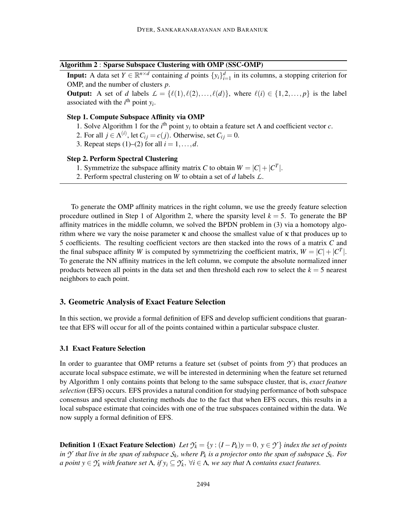# Algorithm 2 : Sparse Subspace Clustering with OMP (SSC-OMP)

**Input:** A data set  $Y \in \mathbb{R}^{n \times d}$  containing *d* points  $\{y_i\}_{i=1}^d$  in its columns, a stopping criterion for OMP, and the number of clusters *p*.

**Output:** A set of *d* labels  $L = \{l(1), l(2), \ldots, l(d)\}\)$ , where  $l(i) \in \{1, 2, \ldots, p\}$  is the label associated with the  $i^{\text{th}}$  point  $y_i$ .

# Step 1. Compute Subspace Affinity via OMP

- 1. Solve Algorithm 1 for the  $i^{\text{th}}$  point  $y_i$  to obtain a feature set  $\Lambda$  and coefficient vector  $c$ .
- 2. For all  $j \in \Lambda^{(i)}$ , let  $C_{ij} = c(j)$ . Otherwise, set  $C_{ij} = 0$ .
- 3. Repeat steps  $(1)$ – $(2)$  for all  $i = 1, \ldots, d$ .

# Step 2. Perform Spectral Clustering

- 1. Symmetrize the subspace affinity matrix *C* to obtain  $W = |C| + |C<sup>T</sup>|$ .
- 2. Perform spectral clustering on *W* to obtain a set of *d* labels *L*.

To generate the OMP affinity matrices in the right column, we use the greedy feature selection procedure outlined in Step 1 of Algorithm 2, where the sparsity level  $k = 5$ . To generate the BP affinity matrices in the middle column, we solved the BPDN problem in (3) via a homotopy algorithm where we vary the noise parameter κ and choose the smallest value of κ that produces up to 5 coefficients. The resulting coefficient vectors are then stacked into the rows of a matrix *C* and the final subspace affinity *W* is computed by symmetrizing the coefficient matrix,  $W = |C| + |C<sup>T</sup>|$ . To generate the NN affinity matrices in the left column, we compute the absolute normalized inner products between all points in the data set and then threshold each row to select the  $k = 5$  nearest neighbors to each point.

# 3. Geometric Analysis of Exact Feature Selection

In this section, we provide a formal definition of EFS and develop sufficient conditions that guarantee that EFS will occur for all of the points contained within a particular subspace cluster.

# 3.1 Exact Feature Selection

In order to guarantee that OMP returns a feature set (subset of points from  $\mathcal{Y}$ ) that produces an accurate local subspace estimate, we will be interested in determining when the feature set returned by Algorithm 1 only contains points that belong to the same subspace cluster, that is, *exact feature selection* (EFS) occurs. EFS provides a natural condition for studying performance of both subspace consensus and spectral clustering methods due to the fact that when EFS occurs, this results in a local subspace estimate that coincides with one of the true subspaces contained within the data. We now supply a formal definition of EFS.

**Definition 1 (Exact Feature Selection)** *Let*  $\mathcal{Y}_k = \{y : (I - P_k)y = 0, y \in \mathcal{Y}\}\$  *index the set of points in*  $\mathcal Y$  *that live in the span of subspace*  $\mathcal S_k$ *, where*  $P_k$  *is a projector onto the span of subspace*  $\mathcal S_k$ *. For a point*  $y \in \mathcal{Y}_k$  *with feature set*  $\Lambda$ *, if*  $y_i \subseteq \mathcal{Y}_k$ *,*  $\forall i \in \Lambda$ *, we say that*  $\Lambda$  *contains exact features.*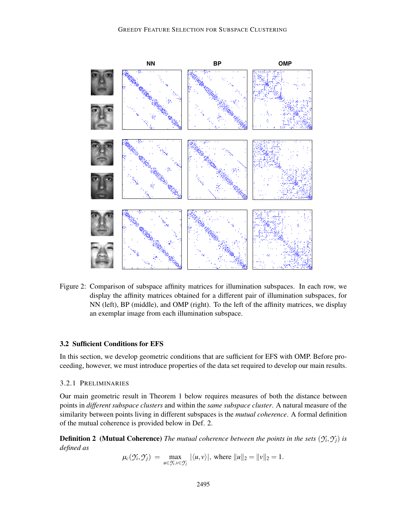

Figure 2: Comparison of subspace affinity matrices for illumination subspaces. In each row, we display the affinity matrices obtained for a different pair of illumination subspaces, for NN (left), BP (middle), and OMP (right). To the left of the affinity matrices, we display an exemplar image from each illumination subspace.

# 3.2 Sufficient Conditions for EFS

In this section, we develop geometric conditions that are sufficient for EFS with OMP. Before proceeding, however, we must introduce properties of the data set required to develop our main results.

# 3.2.1 PRELIMINARIES

Our main geometric result in Theorem 1 below requires measures of both the distance between points in *different subspace clusters* and within the *same subspace cluster*. A natural measure of the similarity between points living in different subspaces is the *mutual coherence*. A formal definition of the mutual coherence is provided below in Def. 2.

**Definition 2** (Mutual Coherence) The mutual coherence between the points in the sets  $(\gamma_i, \gamma_j)$  is *defined as*

$$
\mu_c(\mathcal{Y}_i, \mathcal{Y}_j) = \max_{u \in \mathcal{Y}_i, v \in \mathcal{Y}_j} |\langle u, v \rangle|, \text{ where } ||u||_2 = ||v||_2 = 1.
$$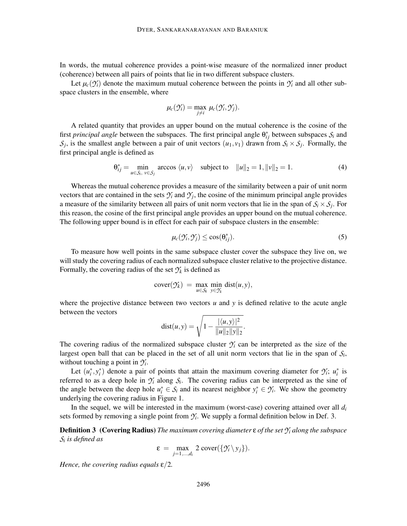In words, the mutual coherence provides a point-wise measure of the normalized inner product (coherence) between all pairs of points that lie in two different subspace clusters.

Let  $\mu_c(\gamma_i)$  denote the maximum mutual coherence between the points in  $\gamma_i$  and all other subspace clusters in the ensemble, where

$$
\mu_c(\mathcal{Y}_i) = \max_{j \neq i} \mu_c(\mathcal{Y}_i, \mathcal{Y}_j).
$$

A related quantity that provides an upper bound on the mutual coherence is the cosine of the first *principal angle* between the subspaces. The first principal angle  $\theta_{ij}^*$  between subspaces  $S_i$  and  $S_j$ , is the smallest angle between a pair of unit vectors  $(u_1, v_1)$  drawn from  $S_i \times S_j$ . Formally, the first principal angle is defined as

$$
\theta_{ij}^* = \min_{u \in S_i, v \in S_j} \arccos \langle u, v \rangle \quad \text{subject to} \quad ||u||_2 = 1, ||v||_2 = 1. \tag{4}
$$

Whereas the mutual coherence provides a measure of the similarity between a pair of unit norm vectors that are contained in the sets  $\gamma$ <sup>*i*</sup> and  $\gamma$ <sup>*j*</sup>, the cosine of the minimum principal angle provides a measure of the similarity between all pairs of unit norm vectors that lie in the span of  $S_i \times S_j$ . For this reason, the cosine of the first principal angle provides an upper bound on the mutual coherence. The following upper bound is in effect for each pair of subspace clusters in the ensemble:

$$
\mu_c(\mathcal{Y}_i, \mathcal{Y}_j) \le \cos(\theta_{ij}^*). \tag{5}
$$

.

To measure how well points in the same subspace cluster cover the subspace they live on, we will study the covering radius of each normalized subspace cluster relative to the projective distance. Formally, the covering radius of the set  $\mathcal{Y}_k$  is defined as

$$
cover(\mathcal{Y}_k) = \max_{u \in \mathcal{S}_k} \min_{y \in \mathcal{Y}_k} dist(u, y),
$$

where the projective distance between two vectors *u* and *y* is defined relative to the acute angle between the vectors

$$
dist(u, y) = \sqrt{1 - \frac{|\langle u, y \rangle|^2}{\|u\|_2 \|y\|_2}}
$$

The covering radius of the normalized subspace cluster  $\mathcal{Y}_i$  can be interpreted as the size of the largest open ball that can be placed in the set of all unit norm vectors that lie in the span of  $S_i$ , without touching a point in  $\mathcal{Y}_i$ .

Let  $(u_i^*, y_i^*)$  denote a pair of points that attain the maximum covering diameter for  $\mathcal{Y}_i$ ;  $u_i^*$  is referred to as a deep hole in  $\mathcal{Y}_i$  along  $\mathcal{S}_i$ . The covering radius can be interpreted as the sine of the angle between the deep hole  $u_i^* \in S_i$  and its nearest neighbor  $y_i^* \in S_i$ . We show the geometry underlying the covering radius in Figure 1.

In the sequel, we will be interested in the maximum (worst-case) covering attained over all  $d_i$ sets formed by removing a single point from  $\mathcal{Y}_i$ . We supply a formal definition below in Def. 3.

Definition 3 (Covering Radius) *The maximum covering diameter* ε *of the set Y<sup>i</sup> along the subspace Si is defined as*

$$
\varepsilon = \max_{j=1,\dots,d_i} 2 \text{ cover}(\{\mathcal{Y}_i \setminus y_j\}).
$$

*Hence, the covering radius equals* ε/2*.*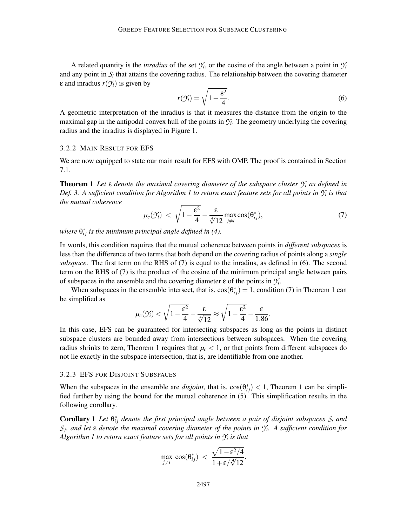A related quantity is the *inradius* of the set  $\mathcal{Y}_i$ , or the cosine of the angle between a point in  $\mathcal{Y}_i$ and any point in  $S_i$  that attains the covering radius. The relationship between the covering diameter ε and inradius *r*(*Yi*) is given by

$$
r(\mathcal{Y}_i) = \sqrt{1 - \frac{\varepsilon^2}{4}}.\tag{6}
$$

A geometric interpretation of the inradius is that it measures the distance from the origin to the maximal gap in the antipodal convex hull of the points in  $\mathcal{Y}_i$ . The geometry underlying the covering radius and the inradius is displayed in Figure 1.

### 3.2.2 MAIN RESULT FOR EFS

We are now equipped to state our main result for EFS with OMP. The proof is contained in Section 7.1.

Theorem 1 *Let* ε *denote the maximal covering diameter of the subspace cluster Y<sup>i</sup> as defined in Def. 3. A sufficient condition for Algorithm 1 to return exact feature sets for all points in Y<sup>i</sup> is that the mutual coherence*

$$
\mu_c(\mathcal{Y}_i) < \sqrt{1 - \frac{\varepsilon^2}{4}} - \frac{\varepsilon}{\sqrt[4]{12}} \max_{j \neq i} \cos(\theta_{ij}^*),\tag{7}
$$

*where* θ ∗ *i j is the minimum principal angle defined in (4).*

In words, this condition requires that the mutual coherence between points in *different subspaces* is less than the difference of two terms that both depend on the covering radius of points along a *single subspace*. The first term on the RHS of (7) is equal to the inradius, as defined in (6). The second term on the RHS of (7) is the product of the cosine of the minimum principal angle between pairs of subspaces in the ensemble and the covering diameter  $\varepsilon$  of the points in  $\mathcal{Y}_i$ .

When subspaces in the ensemble intersect, that is,  $cos(\theta_{ij}^*) = 1$ , condition (7) in Theorem 1 can be simplified as

$$
\mu_c(\mathcal{Y}_i) < \sqrt{1 - \frac{\epsilon^2}{4}} - \frac{\epsilon}{\sqrt[4]{12}} \approx \sqrt{1 - \frac{\epsilon^2}{4}} - \frac{\epsilon}{1.86}.
$$

In this case, EFS can be guaranteed for intersecting subspaces as long as the points in distinct subspace clusters are bounded away from intersections between subspaces. When the covering radius shrinks to zero, Theorem 1 requires that  $\mu_c < 1$ , or that points from different subspaces do not lie exactly in the subspace intersection, that is, are identifiable from one another.

## 3.2.3 EFS FOR DISJOINT SUBSPACES

When the subspaces in the ensemble are *disjoint*, that is,  $cos(\theta_{ij}^*) < 1$ , Theorem 1 can be simplified further by using the bound for the mutual coherence in (5). This simplification results in the following corollary.

**Corollary 1** Let  $\theta_{ij}^*$  denote the first principal angle between a pair of disjoint subspaces  $S_i$  and *Sj , and let* ε *denote the maximal covering diameter of the points in Y<sup>i</sup> . A sufficient condition for Algorithm 1 to return exact feature sets for all points in Y<sup>i</sup> is that*

$$
\max_{j\neq i} \cos(\theta^*_{ij}) < \frac{\sqrt{1-\varepsilon^2/4}}{1+\varepsilon/\sqrt[4]{12}}.
$$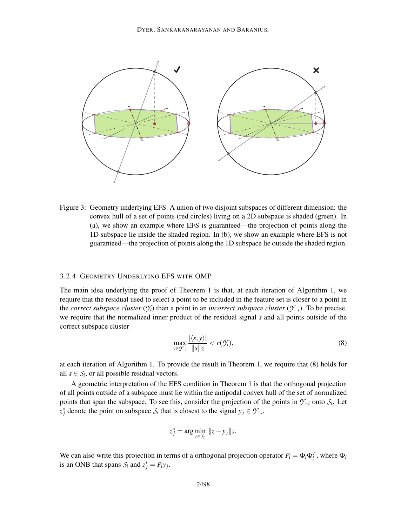

Figure 3: Geometry underlying EFS. A union of two disjoint subspaces of different dimension: the convex hull of a set of points (red circles) living on a 2D subspace is shaded (green). In (a), we show an example where EFS is guaranteed—the projection of points along the 1D subspace lie inside the shaded region. In (b), we show an example where EFS is not guaranteed—the projection of points along the 1D subspace lie outside the shaded region.

# 3.2.4 GEOMETRY UNDERLYING EFS WITH OMP

The main idea underlying the proof of Theorem 1 is that, at each iteration of Algorithm 1, we require that the residual used to select a point to be included in the feature set is closer to a point in the *correct subspace cluster*  $(\gamma_i)$  than a point in an *incorrect subspace cluster*  $(\gamma_{-i})$ . To be precise, we require that the normalized inner product of the residual signal *s* and all points outside of the correct subspace cluster

$$
\max_{y \in \mathcal{Y}_{-i}} \frac{|\langle s, y \rangle|}{\|s\|_2} < r(\mathcal{Y}_i),\tag{8}
$$

at each iteration of Algorithm 1. To provide the result in Theorem 1, we require that (8) holds for all  $s \in S_i$ , or all possible residual vectors.

A geometric interpretation of the EFS condition in Theorem 1 is that the orthogonal projection of all points outside of a subspace must lie within the antipodal convex hull of the set of normalized points that span the subspace. To see this, consider the projection of the points in *Y*−*<sup>i</sup>* onto *S<sup>i</sup>* . Let  $z_j^*$  denote the point on subspace  $S_i$  that is closest to the signal  $y_j \in \mathcal{Y}_{-i}$ ,

$$
z_j^* = \arg\min_{z \in S_i} \ \|z - y_j\|_2.
$$

We can also write this projection in terms of a orthogonal projection operator  $P_i = \Phi_i \Phi_i^T$ , where  $\Phi_i$ is an ONB that spans  $S_i$  and  $z_j^* = P_i y_j$ .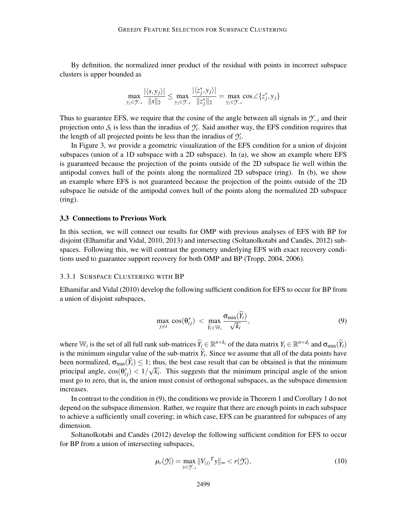By definition, the normalized inner product of the residual with points in incorrect subspace clusters is upper bounded as

$$
\max_{y_j \in \mathcal{Y}_{-i}} \frac{|\langle s, y_j \rangle|}{\|s\|_2} \le \max_{y_j \in \mathcal{Y}_{-i}} \frac{|\langle z_j^*, y_j \rangle|}{\|z_j^*\|_2} = \max_{y_j \in \mathcal{Y}_{-i}} \cos \angle \{z_j^*, y_j\}
$$

Thus to guarantee EFS, we require that the cosine of the angle between all signals in  $\mathcal{Y}^{-i}$  and their projection onto  $S_i$  is less than the inradius of  $\mathcal{Y}_i$ . Said another way, the EFS condition requires that the length of all projected points be less than the inradius of  $\mathcal{Y}_i$ .

In Figure 3, we provide a geometric visualization of the EFS condition for a union of disjoint subspaces (union of a 1D subspace with a 2D subspace). In (a), we show an example where EFS is guaranteed because the projection of the points outside of the 2D subspace lie well within the antipodal convex hull of the points along the normalized 2D subspace (ring). In (b), we show an example where EFS is not guaranteed because the projection of the points outside of the 2D subspace lie outside of the antipodal convex hull of the points along the normalized 2D subspace (ring).

### 3.3 Connections to Previous Work

In this section, we will connect our results for OMP with previous analyses of EFS with BP for disjoint (Elhamifar and Vidal, 2010, 2013) and intersecting (Soltanolkotabi and Candes, 2012) sub- ` spaces. Following this, we will contrast the geometry underlying EFS with exact recovery conditions used to guarantee support recovery for both OMP and BP (Tropp, 2004, 2006).

#### 3.3.1 SUBSPACE CLUSTERING WITH BP

Elhamifar and Vidal (2010) develop the following sufficient condition for EFS to occur for BP from a union of disjoint subspaces,

$$
\max_{j \neq i} \cos(\theta_{ij}^*) \, < \, \max_{\widetilde{Y}_i \in \mathbb{W}_i} \frac{\sigma_{\min}(Y_i)}{\sqrt{k_i}},\tag{9}
$$

where  $\mathbb{W}_i$  is the set of all full rank sub-matrices  $\widetilde{Y}_i \in \mathbb{R}^{n \times k_i}$  of the data matrix  $Y_i \in \mathbb{R}^{n \times d_i}$  and  $\sigma_{\min}(\widetilde{Y}_i)$ is the minimum singular value of the sub-matrix  $Y_i$ . Since we assume that all of the data points have been normalized,  $\sigma_{\min}(\tilde{Y}_i) \leq 1$ ; thus, the best case result that can be obtained is that the minimum principal angle,  $cos(\theta_{ij}^*) < 1/\sqrt{k_i}$ . This suggests that the minimum principal angle of the union must go to zero, that is, the union must consist of orthogonal subspaces, as the subspace dimension increases.

In contrast to the condition in (9), the conditions we provide in Theorem 1 and Corollary 1 do not depend on the subspace dimension. Rather, we require that there are enough points in each subspace to achieve a sufficiently small covering; in which case, EFS can be guaranteed for subspaces of any dimension.

Soltanolkotabi and Candes (2012) develop the following sufficient condition for EFS to occur ` for BP from a union of intersecting subspaces,

$$
\mu_{\nu}(\mathcal{Y}_i) = \max_{y \in \mathcal{Y}_{-i}} \|V_{(i)}^T y\|_{\infty} < r(\mathcal{Y}_i),\tag{10}
$$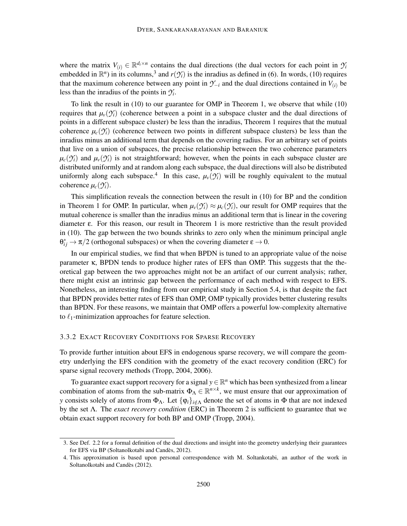where the matrix  $V_{(i)} \in \mathbb{R}^{d_i \times n}$  contains the dual directions (the dual vectors for each point in  $\mathcal{Y}_i$ embedded in  $\mathbb{R}^n$ ) in its columns,<sup>3</sup> and  $r(\mathcal{Y}_i)$  is the inradius as defined in (6). In words, (10) requires that the maximum coherence between any point in  $\mathcal{Y}$ <sup>−*i*</sup> and the dual directions contained in  $V$ <sub>(*i*)</sub> be less than the inradius of the points in *Y<sup>i</sup>* .

To link the result in (10) to our guarantee for OMP in Theorem 1, we observe that while (10) requires that  $\mu_\nu(\gamma_i)$  (coherence between a point in a subspace cluster and the dual directions of points in a different subspace cluster) be less than the inradius, Theorem 1 requires that the mutual coherence  $\mu_c(\gamma_i)$  (coherence between two points in different subspace clusters) be less than the inradius minus an additional term that depends on the covering radius. For an arbitrary set of points that live on a union of subspaces, the precise relationship between the two coherence parameters  $\mu_c(Y_i)$  and  $\mu_v(Y_i)$  is not straightforward; however, when the points in each subspace cluster are distributed uniformly and at random along each subspace, the dual directions will also be distributed uniformly along each subspace.<sup>4</sup> In this case,  $\mu_\nu(\mathcal{Y}_i)$  will be roughly equivalent to the mutual coherence  $\mu_c(\gamma_i)$ .

This simplification reveals the connection between the result in (10) for BP and the condition in Theorem 1 for OMP. In particular, when  $\mu_\nu(\gamma_i) \approx \mu_c(\gamma_i)$ , our result for OMP requires that the mutual coherence is smaller than the inradius minus an additional term that is linear in the covering diameter ε. For this reason, our result in Theorem 1 is more restrictive than the result provided in (10). The gap between the two bounds shrinks to zero only when the minimum principal angle  $\theta_{ij}^* \to \pi/2$  (orthogonal subspaces) or when the covering diameter  $\varepsilon \to 0$ .

In our empirical studies, we find that when BPDN is tuned to an appropriate value of the noise parameter κ, BPDN tends to produce higher rates of EFS than OMP. This suggests that the theoretical gap between the two approaches might not be an artifact of our current analysis; rather, there might exist an intrinsic gap between the performance of each method with respect to EFS. Nonetheless, an interesting finding from our empirical study in Section 5.4, is that despite the fact that BPDN provides better rates of EFS than OMP, OMP typically provides better clustering results than BPDN. For these reasons, we maintain that OMP offers a powerful low-complexity alternative to  $\ell_1$ -minimization approaches for feature selection.

# 3.3.2 EXACT RECOVERY CONDITIONS FOR SPARSE RECOVERY

To provide further intuition about EFS in endogenous sparse recovery, we will compare the geometry underlying the EFS condition with the geometry of the exact recovery condition (ERC) for sparse signal recovery methods (Tropp, 2004, 2006).

To guarantee exact support recovery for a signal  $y \in \mathbb{R}^n$  which has been synthesized from a linear combination of atoms from the sub-matrix  $\Phi_{\Lambda} \in \mathbb{R}^{n \times k}$ , we must ensure that our approximation of *y* consists solely of atoms from  $\Phi_{\Lambda}$ . Let  $\{\phi_i\}_{i \notin \Lambda}$  denote the set of atoms in  $\Phi$  that are not indexed by the set Λ. The *exact recovery condition* (ERC) in Theorem 2 is sufficient to guarantee that we obtain exact support recovery for both BP and OMP (Tropp, 2004).

<sup>3.</sup> See Def. 2.2 for a formal definition of the dual directions and insight into the geometry underlying their guarantees for EFS via BP (Soltanolkotabi and Candès, 2012).

<sup>4.</sup> This approximation is based upon personal correspondence with M. Soltankotabi, an author of the work in Soltanolkotabi and Candès (2012).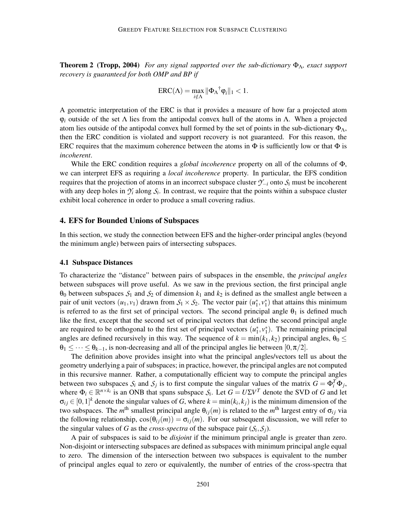Theorem 2 (Tropp, 2004) *For any signal supported over the sub-dictionary*  $Φ$ Λ*, exact support recovery is guaranteed for both OMP and BP if*

$$
\text{ERC}(\Lambda)=\max_{i\notin \Lambda}\|\Phi_{\Lambda}^{\dagger}\phi_i\|_1<1.
$$

A geometric interpretation of the ERC is that it provides a measure of how far a projected atom  $\varphi_i$  outside of the set  $\Lambda$  lies from the antipodal convex hull of the atoms in  $\Lambda$ . When a projected atom lies outside of the antipodal convex hull formed by the set of points in the sub-dictionary  $\Phi_{\Lambda}$ , then the ERC condition is violated and support recovery is not guaranteed. For this reason, the ERC requires that the maximum coherence between the atoms in  $\Phi$  is sufficiently low or that  $\Phi$  is *incoherent*.

While the ERC condition requires a *global incoherence* property on all of the columns of Φ, we can interpret EFS as requiring a *local incoherence* property. In particular, the EFS condition requires that the projection of atoms in an incorrect subspace cluster *Y*−*<sup>i</sup>* onto *S<sup>i</sup>* must be incoherent with any deep holes in  $\mathcal{Y}_i$  along  $\mathcal{S}_i$ . In contrast, we require that the points within a subspace cluster exhibit local coherence in order to produce a small covering radius.

# 4. EFS for Bounded Unions of Subspaces

In this section, we study the connection between EFS and the higher-order principal angles (beyond the minimum angle) between pairs of intersecting subspaces.

### 4.1 Subspace Distances

To characterize the "distance" between pairs of subspaces in the ensemble, the *principal angles* between subspaces will prove useful. As we saw in the previous section, the first principal angle  $\theta_0$  between subspaces  $S_1$  and  $S_2$  of dimension  $k_1$  and  $k_2$  is defined as the smallest angle between a pair of unit vectors  $(u_1, v_1)$  drawn from  $S_1 \times S_2$ . The vector pair  $(u_1^*, v_1^*)$  that attains this minimum is referred to as the first set of principal vectors. The second principal angle  $\theta_1$  is defined much like the first, except that the second set of principal vectors that define the second principal angle are required to be orthogonal to the first set of principal vectors  $(u_1^*, v_1^*)$ . The remaining principal angles are defined recursively in this way. The sequence of  $k = min(k_1, k_2)$  principal angles,  $\theta_0 \leq$  $\theta_1 \leq \cdots \leq \theta_{k-1}$ , is non-decreasing and all of the principal angles lie between [0, $\pi/2$ ].

The definition above provides insight into what the principal angles/vectors tell us about the geometry underlying a pair of subspaces; in practice, however, the principal angles are not computed in this recursive manner. Rather, a computationally efficient way to compute the principal angles between two subspaces  $S_i$  and  $S_j$  is to first compute the singular values of the matrix  $G = \Phi_i^T \Phi_j$ , where  $\Phi_i \in \mathbb{R}^{n \times k_i}$  is an ONB that spans subspace  $S_i$ . Let  $G = U\Sigma V^T$  denote the SVD of *G* and let  $\sigma_{ij} \in [0,1]^k$  denote the singular values of *G*, where  $k = \min(k_i, k_j)$  is the minimum dimension of the two subspaces. The *m*<sup>th</sup> smallest principal angle  $\theta_{ij}(m)$  is related to the *m*<sup>th</sup> largest entry of  $\sigma_{ij}$  via the following relationship,  $\cos(\theta_{ij}(m)) = \sigma_{ij}(m)$ . For our subsequent discussion, we will refer to the singular values of *G* as the *cross-spectra* of the subspace pair  $(S_i, S_j)$ .

A pair of subspaces is said to be *disjoint* if the minimum principal angle is greater than zero. Non-disjoint or intersecting subspaces are defined as subspaces with minimum principal angle equal to zero. The dimension of the intersection between two subspaces is equivalent to the number of principal angles equal to zero or equivalently, the number of entries of the cross-spectra that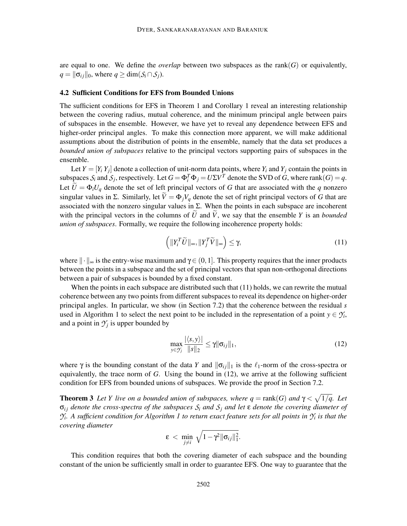are equal to one. We define the *overlap* between two subspaces as the rank $(G)$  or equivalently,  $q = ||\sigma_{ij}||_0$ , where  $q \ge \dim(\mathcal{S}_i \cap \mathcal{S}_j)$ .

#### 4.2 Sufficient Conditions for EFS from Bounded Unions

The sufficient conditions for EFS in Theorem 1 and Corollary 1 reveal an interesting relationship between the covering radius, mutual coherence, and the minimum principal angle between pairs of subspaces in the ensemble. However, we have yet to reveal any dependence between EFS and higher-order principal angles. To make this connection more apparent, we will make additional assumptions about the distribution of points in the ensemble, namely that the data set produces a *bounded union of subspaces* relative to the principal vectors supporting pairs of subspaces in the ensemble.

Let  $Y = [Y_i Y_j]$  denote a collection of unit-norm data points, where  $Y_i$  and  $Y_j$  contain the points in subspaces  $S_i$  and  $S_j$ , respectively. Let  $G = \Phi_i^T \Phi_j = U \Sigma V^T$  denote the SVD of *G*, where rank $(G) = q$ . Let  $\tilde{U} = \Phi_i U_q$  denote the set of left principal vectors of *G* that are associated with the *q* nonzero singular values in Σ. Similarly, let  $\widetilde{V} = \Phi_j V_q$  denote the set of right principal vectors of *G* that are associated with the nonzero singular values in  $\Sigma$ . When the points in each subspace are incoherent with the principal vectors in the columns of  $\tilde{U}$  and  $\tilde{V}$ , we say that the ensemble *Y* is an *bounded union of subspaces*. Formally, we require the following incoherence property holds:

$$
\left(\|Y_i^T\widetilde{U}\|_{\infty}, \|Y_j^T\widetilde{V}\|_{\infty}\right) \leq \gamma,\tag{11}
$$

where  $\|\cdot\|_{\infty}$  is the entry-wise maximum and  $\gamma \in (0,1]$ . This property requires that the inner products between the points in a subspace and the set of principal vectors that span non-orthogonal directions between a pair of subspaces is bounded by a fixed constant.

When the points in each subspace are distributed such that  $(11)$  holds, we can rewrite the mutual coherence between any two points from different subspaces to reveal its dependence on higher-order principal angles. In particular, we show (in Section 7.2) that the coherence between the residual *s* used in Algorithm 1 to select the next point to be included in the representation of a point  $y \in \mathcal{Y}_i$ , and a point in  $\mathcal{Y}_j$  is upper bounded by

$$
\max_{y \in \mathcal{Y}_j} \frac{|\langle s, y \rangle|}{\|s\|_2} \le \gamma \|\sigma_{ij}\|_1,
$$
\n(12)

where  $\gamma$  is the bounding constant of the data *Y* and  $\|\sigma_{ij}\|_1$  is the  $\ell_1$ -norm of the cross-spectra or equivalently, the trace norm of *G*. Using the bound in (12), we arrive at the following sufficient condition for EFS from bounded unions of subspaces. We provide the proof in Section 7.2.

**Theorem 3** Let Y live on a bounded union of subspaces, where  $q = \text{rank}(G)$  and  $\gamma < \sqrt{1/q}$ . Let  $\sigma_{ij}$  *denote the cross-spectra of the subspaces*  $S_i$  *and*  $S_j$  *and let*  $\varepsilon$  *denote the covering diameter of*  $\mathcal{Y}_i$ . A sufficient condition for Algorithm 1 to return exact feature sets for all points in  $\mathcal{Y}_i$  is that the *covering diameter*

$$
\varepsilon \, < \, \min_{j \neq i} \, \sqrt{1 - \gamma^2 \|\sigma_{ij}\|_1^2}.
$$

This condition requires that both the covering diameter of each subspace and the bounding constant of the union be sufficiently small in order to guarantee EFS. One way to guarantee that the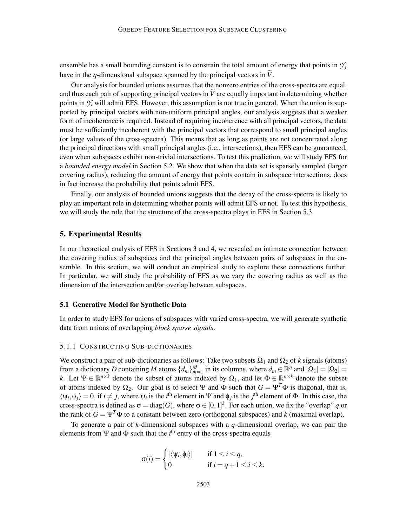ensemble has a small bounding constant is to constrain the total amount of energy that points in  $\mathcal{Y}_i$ have in the *q*-dimensional subspace spanned by the principal vectors in  $\tilde{V}$ .

Our analysis for bounded unions assumes that the nonzero entries of the cross-spectra are equal, and thus each pair of supporting principal vectors in  $V$  are equally important in determining whether points in  $\mathcal{Y}_i$  will admit EFS. However, this assumption is not true in general. When the union is supported by principal vectors with non-uniform principal angles, our analysis suggests that a weaker form of incoherence is required. Instead of requiring incoherence with all principal vectors, the data must be sufficiently incoherent with the principal vectors that correspond to small principal angles (or large values of the cross-spectra). This means that as long as points are not concentrated along the principal directions with small principal angles (i.e., intersections), then EFS can be guaranteed, even when subspaces exhibit non-trivial intersections. To test this prediction, we will study EFS for a *bounded energy model* in Section 5.2. We show that when the data set is sparsely sampled (larger covering radius), reducing the amount of energy that points contain in subspace intersections, does in fact increase the probability that points admit EFS.

Finally, our analysis of bounded unions suggests that the decay of the cross-spectra is likely to play an important role in determining whether points will admit EFS or not. To test this hypothesis, we will study the role that the structure of the cross-spectra plays in EFS in Section 5.3.

## 5. Experimental Results

In our theoretical analysis of EFS in Sections 3 and 4, we revealed an intimate connection between the covering radius of subspaces and the principal angles between pairs of subspaces in the ensemble. In this section, we will conduct an empirical study to explore these connections further. In particular, we will study the probability of EFS as we vary the covering radius as well as the dimension of the intersection and/or overlap between subspaces.

#### 5.1 Generative Model for Synthetic Data

In order to study EFS for unions of subspaces with varied cross-spectra, we will generate synthetic data from unions of overlapping *block sparse signals*.

## 5.1.1 CONSTRUCTING SUB-DICTIONARIES

We construct a pair of sub-dictionaries as follows: Take two subsets  $\Omega_1$  and  $\Omega_2$  of *k* signals (atoms) from a dictionary *D* containing *M* atoms  $\{d_m\}_{m=1}^M$  in its columns, where  $d_m \in \mathbb{R}^n$  and  $|\Omega_1| = |\Omega_2| =$ *k*. Let  $\Psi \in \mathbb{R}^{n \times k}$  denote the subset of atoms indexed by  $\Omega_1$ , and let  $\Phi \in \mathbb{R}^{n \times k}$  denote the subset of atoms indexed by  $\Omega_2$ . Our goal is to select Ψ and Φ such that  $G = \Psi^T \Phi$  is diagonal, that is,  $\langle \psi_i, \phi_j \rangle = 0$ , if  $i \neq j$ , where  $\psi_i$  is the *i*<sup>th</sup> element in Ψ and  $\phi_j$  is the *j*<sup>th</sup> element of Φ. In this case, the cross-spectra is defined as  $\sigma = diag(G)$ , where  $\sigma \in [0,1]^k$ . For each union, we fix the "overlap" *q* or the rank of  $G = \Psi^T \Phi$  to a constant between zero (orthogonal subspaces) and *k* (maximal overlap).

To generate a pair of *k*-dimensional subspaces with a *q*-dimensional overlap, we can pair the elements from  $\Psi$  and  $\Phi$  such that the *i*<sup>th</sup> entry of the cross-spectra equals

$$
\sigma(i) = \begin{cases} |\langle \psi_i, \phi_i \rangle| & \text{if } 1 \leq i \leq q, \\ 0 & \text{if } i = q + 1 \leq i \leq k. \end{cases}
$$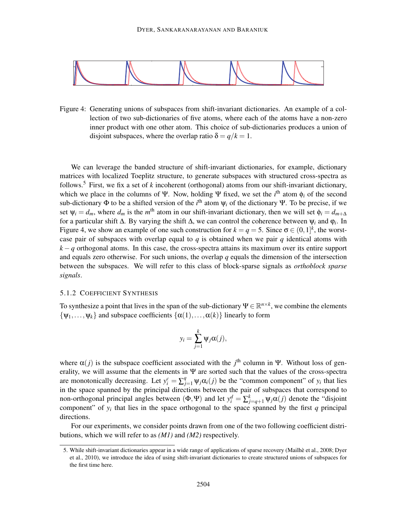

Figure 4: Generating unions of subspaces from shift-invariant dictionaries. An example of a collection of two sub-dictionaries of five atoms, where each of the atoms have a non-zero inner product with one other atom. This choice of sub-dictionaries produces a union of disjoint subspaces, where the overlap ratio  $\delta = q/k = 1$ .

We can leverage the banded structure of shift-invariant dictionaries, for example, dictionary matrices with localized Toeplitz structure, to generate subspaces with structured cross-spectra as follows.<sup>5</sup> First, we fix a set of *k* incoherent (orthogonal) atoms from our shift-invariant dictionary, which we place in the columns of Ψ. Now, holding Ψ fixed, we set the  $i<sup>th</sup>$  atom  $\phi_i$  of the second sub-dictionary  $\Phi$  to be a shifted version of the *i*<sup>th</sup> atom  $\psi_i$  of the dictionary Ψ. To be precise, if we set  $\psi_i = d_m$ , where  $d_m$  is the  $m^{\text{th}}$  atom in our shift-invariant dictionary, then we will set  $\phi_i = d_{m+\Delta}$ for a particular shift ∆. By varying the shift ∆, we can control the coherence between ψ*<sup>i</sup>* and ϕ*<sup>i</sup>* . In Figure 4, we show an example of one such construction for  $k = q = 5$ . Since  $\sigma \in (0,1]^k$ , the worstcase pair of subspaces with overlap equal to  $q$  is obtained when we pair  $q$  identical atoms with  $k - q$  orthogonal atoms. In this case, the cross-spectra attains its maximum over its entire support and equals zero otherwise. For such unions, the overlap *q* equals the dimension of the intersection between the subspaces. We will refer to this class of block-sparse signals as *orthoblock sparse signals*.

# 5.1.2 COEFFICIENT SYNTHESIS

To synthesize a point that lives in the span of the sub-dictionary  $\Psi \in \mathbb{R}^{n \times k}$ , we combine the elements  $\{\psi_1,\ldots,\psi_k\}$  and subspace coefficients  $\{\alpha(1),\ldots,\alpha(k)\}\$  linearly to form

$$
y_i = \sum_{j=1}^k \Psi_j \alpha(j),
$$

where  $\alpha(j)$  is the subspace coefficient associated with the  $j<sup>th</sup>$  column in Ψ. Without loss of generality, we will assume that the elements in  $\Psi$  are sorted such that the values of the cross-spectra are monotonically decreasing. Let  $y_i^c = \sum_{j=1}^q \psi_j \alpha_i(j)$  be the "common component" of  $y_i$  that lies in the space spanned by the principal directions between the pair of subspaces that correspond to non-orthogonal principal angles between  $(\Phi, \Psi)$  and let  $y_i^d = \sum_{j=q+1}^k \psi_j \alpha(j)$  denote the "disjoint component" of  $y_i$  that lies in the space orthogonal to the space spanned by the first  $q$  principal directions.

For our experiments, we consider points drawn from one of the two following coefficient distributions, which we will refer to as *(M1)* and *(M2)* respectively.

<sup>5.</sup> While shift-invariant dictionaries appear in a wide range of applications of sparse recovery (Mailhe et al., 2008; Dyer ` et al., 2010), we introduce the idea of using shift-invariant dictionaries to create structured unions of subspaces for the first time here.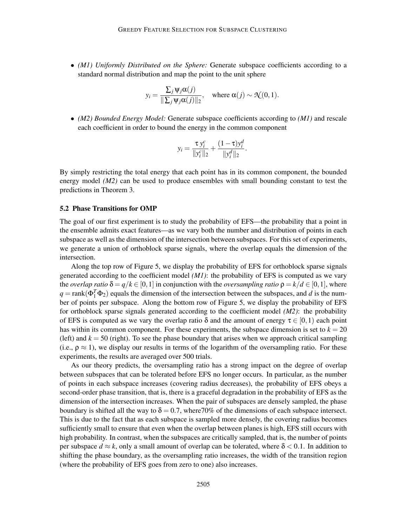• *(M1) Uniformly Distributed on the Sphere:* Generate subspace coefficients according to a standard normal distribution and map the point to the unit sphere

$$
y_i = \frac{\sum_j \Psi_j \alpha(j)}{\|\sum_j \Psi_j \alpha(j)\|_2}, \quad \text{where } \alpha(j) \sim \mathcal{N}(0, 1).
$$

• *(M2) Bounded Energy Model:* Generate subspace coefficients according to *(M1)* and rescale each coefficient in order to bound the energy in the common component

$$
y_i = \frac{\tau y_i^c}{\|y_i^c\|_2} + \frac{(1-\tau)y_i^d}{\|y_i^d\|_2}.
$$

By simply restricting the total energy that each point has in its common component, the bounded energy model *(M2)* can be used to produce ensembles with small bounding constant to test the predictions in Theorem 3.

# 5.2 Phase Transitions for OMP

The goal of our first experiment is to study the probability of EFS—the probability that a point in the ensemble admits exact features—as we vary both the number and distribution of points in each subspace as well as the dimension of the intersection between subspaces. For this set of experiments, we generate a union of orthoblock sparse signals, where the overlap equals the dimension of the intersection.

Along the top row of Figure 5, we display the probability of EFS for orthoblock sparse signals generated according to the coefficient model *(M1)*: the probability of EFS is computed as we vary the *overlap ratio*  $\delta = q/k \in [0,1]$  in conjunction with the *oversampling ratio*  $\rho = k/d \in [0,1]$ , where  $q = \text{rank}(\Phi_1^T \Phi_2)$  equals the dimension of the intersection between the subspaces, and *d* is the number of points per subspace. Along the bottom row of Figure 5, we display the probability of EFS for orthoblock sparse signals generated according to the coefficient model *(M2)*: the probability of EFS is computed as we vary the overlap ratio  $\delta$  and the amount of energy  $\tau \in [0,1)$  each point has within its common component. For these experiments, the subspace dimension is set to  $k = 20$ (left) and  $k = 50$  (right). To see the phase boundary that arises when we approach critical sampling (i.e.,  $\rho \approx 1$ ), we display our results in terms of the logarithm of the oversampling ratio. For these experiments, the results are averaged over 500 trials.

As our theory predicts, the oversampling ratio has a strong impact on the degree of overlap between subspaces that can be tolerated before EFS no longer occurs. In particular, as the number of points in each subspace increases (covering radius decreases), the probability of EFS obeys a second-order phase transition, that is, there is a graceful degradation in the probability of EFS as the dimension of the intersection increases. When the pair of subspaces are densely sampled, the phase boundary is shifted all the way to  $\delta = 0.7$ , where 70% of the dimensions of each subspace intersect. This is due to the fact that as each subspace is sampled more densely, the covering radius becomes sufficiently small to ensure that even when the overlap between planes is high, EFS still occurs with high probability. In contrast, when the subspaces are critically sampled, that is, the number of points per subspace  $d \approx k$ , only a small amount of overlap can be tolerated, where  $\delta$  < 0.1. In addition to shifting the phase boundary, as the oversampling ratio increases, the width of the transition region (where the probability of EFS goes from zero to one) also increases.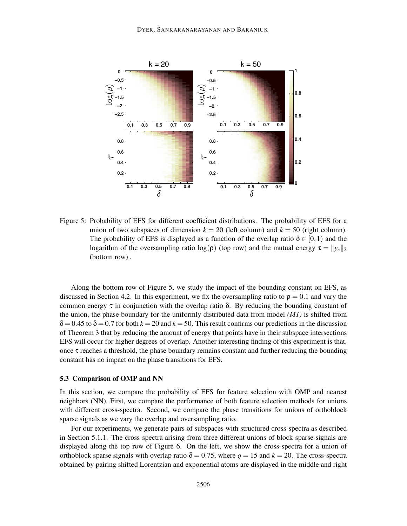

Figure 5: Probability of EFS for different coefficient distributions. The probability of EFS for a union of two subspaces of dimension  $k = 20$  (left column) and  $k = 50$  (right column). The probability of EFS is displayed as a function of the overlap ratio  $\delta \in [0,1)$  and the logarithm of the oversampling ratio log( $\rho$ ) (top row) and the mutual energy  $\tau = ||y_c||_2$ (bottom row) .

Along the bottom row of Figure 5, we study the impact of the bounding constant on EFS, as discussed in Section 4.2. In this experiment, we fix the oversampling ratio to  $\rho = 0.1$  and vary the common energy τ in conjunction with the overlap ratio δ. By reducing the bounding constant of the union, the phase boundary for the uniformly distributed data from model *(M1)* is shifted from  $\delta$  = 0.45 to  $\delta$  = 0.7 for both  $k$  = 20 and  $k$  = 50. This result confirms our predictions in the discussion of Theorem 3 that by reducing the amount of energy that points have in their subspace intersections EFS will occur for higher degrees of overlap. Another interesting finding of this experiment is that, once  $\tau$  reaches a threshold, the phase boundary remains constant and further reducing the bounding constant has no impact on the phase transitions for EFS.

#### 5.3 Comparison of OMP and NN

In this section, we compare the probability of EFS for feature selection with OMP and nearest neighbors (NN). First, we compare the performance of both feature selection methods for unions with different cross-spectra. Second, we compare the phase transitions for unions of orthoblock sparse signals as we vary the overlap and oversampling ratio.

For our experiments, we generate pairs of subspaces with structured cross-spectra as described in Section 5.1.1. The cross-spectra arising from three different unions of block-sparse signals are displayed along the top row of Figure 6. On the left, we show the cross-spectra for a union of orthoblock sparse signals with overlap ratio  $\delta = 0.75$ , where  $q = 15$  and  $k = 20$ . The cross-spectra obtained by pairing shifted Lorentzian and exponential atoms are displayed in the middle and right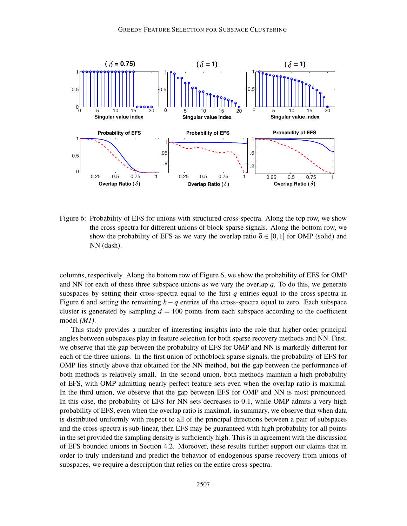

Figure 6: Probability of EFS for unions with structured cross-spectra. Along the top row, we show the cross-spectra for different unions of block-sparse signals. Along the bottom row, we show the probability of EFS as we vary the overlap ratio  $\delta \in [0,1]$  for OMP (solid) and NN (dash).

columns, respectively. Along the bottom row of Figure 6, we show the probability of EFS for OMP and NN for each of these three subspace unions as we vary the overlap  $q$ . To do this, we generate subspaces by setting their cross-spectra equal to the first *q* entries equal to the cross-spectra in Figure 6 and setting the remaining  $k - q$  entries of the cross-spectra equal to zero. Each subspace cluster is generated by sampling  $d = 100$  points from each subspace according to the coefficient model *(M1)*.

This study provides a number of interesting insights into the role that higher-order principal angles between subspaces play in feature selection for both sparse recovery methods and NN. First, we observe that the gap between the probability of EFS for OMP and NN is markedly different for each of the three unions. In the first union of orthoblock sparse signals, the probability of EFS for OMP lies strictly above that obtained for the NN method, but the gap between the performance of both methods is relatively small. In the second union, both methods maintain a high probability of EFS, with OMP admitting nearly perfect feature sets even when the overlap ratio is maximal. In the third union, we observe that the gap between EFS for OMP and NN is most pronounced. In this case, the probability of EFS for NN sets decreases to 0.1, while OMP admits a very high probability of EFS, even when the overlap ratio is maximal. in summary, we observe that when data is distributed uniformly with respect to all of the principal directions between a pair of subspaces and the cross-spectra is sub-linear, then EFS may be guaranteed with high probability for all points in the set provided the sampling density is sufficiently high. This is in agreement with the discussion of EFS bounded unions in Section 4.2. Moreover, these results further support our claims that in order to truly understand and predict the behavior of endogenous sparse recovery from unions of subspaces, we require a description that relies on the entire cross-spectra.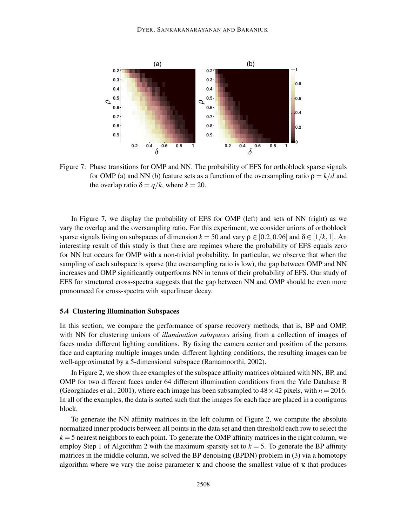

Figure 7: Phase transitions for OMP and NN. The probability of EFS for orthoblock sparse signals for OMP (a) and NN (b) feature sets as a function of the oversampling ratio  $\rho = k/d$  and the overlap ratio  $\delta = q/k$ , where  $k = 20$ .

In Figure 7, we display the probability of EFS for OMP (left) and sets of NN (right) as we vary the overlap and the oversampling ratio. For this experiment, we consider unions of orthoblock sparse signals living on subspaces of dimension  $k = 50$  and vary  $\rho \in [0.2, 0.96]$  and  $\delta \in [1/k, 1]$ . An interesting result of this study is that there are regimes where the probability of EFS equals zero for NN but occurs for OMP with a non-trivial probability. In particular, we observe that when the sampling of each subspace is sparse (the oversampling ratio is low), the gap between OMP and NN increases and OMP significantly outperforms NN in terms of their probability of EFS. Our study of EFS for structured cross-spectra suggests that the gap between NN and OMP should be even more pronounced for cross-spectra with superlinear decay.

#### 5.4 Clustering Illumination Subspaces

In this section, we compare the performance of sparse recovery methods, that is, BP and OMP, with NN for clustering unions of *illumination subspaces* arising from a collection of images of faces under different lighting conditions. By fixing the camera center and position of the persons face and capturing multiple images under different lighting conditions, the resulting images can be well-approximated by a 5-dimensional subspace (Ramamoorthi, 2002).

In Figure 2, we show three examples of the subspace affinity matrices obtained with NN, BP, and OMP for two different faces under 64 different illumination conditions from the Yale Database B (Georghiades et al., 2001), where each image has been subsampled to  $48 \times 42$  pixels, with  $n = 2016$ . In all of the examples, the data is sorted such that the images for each face are placed in a contiguous block.

To generate the NN affinity matrices in the left column of Figure 2, we compute the absolute normalized inner products between all points in the data set and then threshold each row to select the  $k = 5$  nearest neighbors to each point. To generate the OMP affinity matrices in the right column, we employ Step 1 of Algorithm 2 with the maximum sparsity set to  $k = 5$ . To generate the BP affinity matrices in the middle column, we solved the BP denoising (BPDN) problem in (3) via a homotopy algorithm where we vary the noise parameter  $\kappa$  and choose the smallest value of  $\kappa$  that produces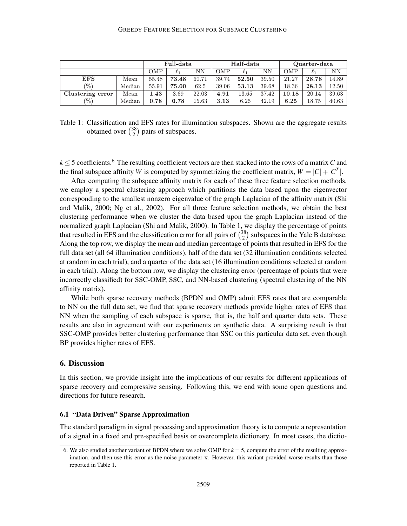#### GREEDY FEATURE SELECTION FOR SUBSPACE CLUSTERING

|                  |        | Full-data |       |       | Half-data |       |       | Quarter-data |       |       |
|------------------|--------|-----------|-------|-------|-----------|-------|-------|--------------|-------|-------|
|                  |        | OMP       |       | NΝ    | OMP       |       | NΝ    | ЭМР          |       | NΝ    |
| <b>EFS</b>       | Mean   | 55.48     | 73.48 | 60.71 | 39.74     | 52.50 | 39.50 | 21.27        | 28.78 | 14.89 |
| $\%$             | Median | 55.91     | 75.00 | 62.5  | 39.06     | 53.13 | 39.68 | 18.36        | 28.13 | 12.50 |
| Clustering error | Mean   | $1.43\,$  | 3.69  | 22.03 | 4.91      | 13.65 | 37.42 | 10.18        | 20.14 | 39.63 |
| 70)              | Median | 0.78      | 0.78  | 15.63 | 3.13      | 6.25  | 42.19 | 6.25         | 18.75 | 40.63 |

Table 1: Classification and EFS rates for illumination subspaces. Shown are the aggregate results obtained over  $\binom{38}{2}$  $2^{38}$ ) pairs of subspaces.

 $k \leq 5$  coefficients.<sup>6</sup> The resulting coefficient vectors are then stacked into the rows of a matrix *C* and the final subspace affinity *W* is computed by symmetrizing the coefficient matrix,  $W = |C| + |C<sup>T</sup>|$ .

After computing the subspace affinity matrix for each of these three feature selection methods, we employ a spectral clustering approach which partitions the data based upon the eigenvector corresponding to the smallest nonzero eigenvalue of the graph Laplacian of the affinity matrix (Shi and Malik, 2000; Ng et al., 2002). For all three feature selection methods, we obtain the best clustering performance when we cluster the data based upon the graph Laplacian instead of the normalized graph Laplacian (Shi and Malik, 2000). In Table 1, we display the percentage of points that resulted in EFS and the classification error for all pairs of  $\binom{38}{2}$  $\binom{38}{2}$  subspaces in the Yale B database. Along the top row, we display the mean and median percentage of points that resulted in EFS for the full data set (all 64 illumination conditions), half of the data set (32 illumination conditions selected at random in each trial), and a quarter of the data set (16 illumination conditions selected at random in each trial). Along the bottom row, we display the clustering error (percentage of points that were incorrectly classified) for SSC-OMP, SSC, and NN-based clustering (spectral clustering of the NN affinity matrix).

While both sparse recovery methods (BPDN and OMP) admit EFS rates that are comparable to NN on the full data set, we find that sparse recovery methods provide higher rates of EFS than NN when the sampling of each subspace is sparse, that is, the half and quarter data sets. These results are also in agreement with our experiments on synthetic data. A surprising result is that SSC-OMP provides better clustering performance than SSC on this particular data set, even though BP provides higher rates of EFS.

## 6. Discussion

In this section, we provide insight into the implications of our results for different applications of sparse recovery and compressive sensing. Following this, we end with some open questions and directions for future research.

# 6.1 "Data Driven" Sparse Approximation

The standard paradigm in signal processing and approximation theory is to compute a representation of a signal in a fixed and pre-specified basis or overcomplete dictionary. In most cases, the dictio-

<sup>6.</sup> We also studied another variant of BPDN where we solve OMP for  $k = 5$ , compute the error of the resulting approximation, and then use this error as the noise parameter κ. However, this variant provided worse results than those reported in Table 1.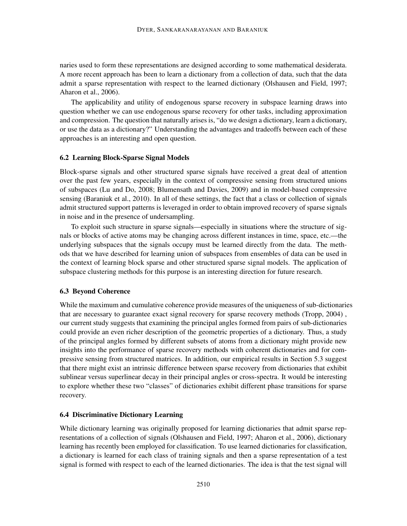naries used to form these representations are designed according to some mathematical desiderata. A more recent approach has been to learn a dictionary from a collection of data, such that the data admit a sparse representation with respect to the learned dictionary (Olshausen and Field, 1997; Aharon et al., 2006).

The applicability and utility of endogenous sparse recovery in subspace learning draws into question whether we can use endogenous sparse recovery for other tasks, including approximation and compression. The question that naturally arises is, "do we design a dictionary, learn a dictionary, or use the data as a dictionary?" Understanding the advantages and tradeoffs between each of these approaches is an interesting and open question.

# 6.2 Learning Block-Sparse Signal Models

Block-sparse signals and other structured sparse signals have received a great deal of attention over the past few years, especially in the context of compressive sensing from structured unions of subspaces (Lu and Do, 2008; Blumensath and Davies, 2009) and in model-based compressive sensing (Baraniuk et al., 2010). In all of these settings, the fact that a class or collection of signals admit structured support patterns is leveraged in order to obtain improved recovery of sparse signals in noise and in the presence of undersampling.

To exploit such structure in sparse signals—especially in situations where the structure of signals or blocks of active atoms may be changing across different instances in time, space, etc.—the underlying subspaces that the signals occupy must be learned directly from the data. The methods that we have described for learning union of subspaces from ensembles of data can be used in the context of learning block sparse and other structured sparse signal models. The application of subspace clustering methods for this purpose is an interesting direction for future research.

## 6.3 Beyond Coherence

While the maximum and cumulative coherence provide measures of the uniqueness of sub-dictionaries that are necessary to guarantee exact signal recovery for sparse recovery methods (Tropp, 2004) , our current study suggests that examining the principal angles formed from pairs of sub-dictionaries could provide an even richer description of the geometric properties of a dictionary. Thus, a study of the principal angles formed by different subsets of atoms from a dictionary might provide new insights into the performance of sparse recovery methods with coherent dictionaries and for compressive sensing from structured matrices. In addition, our empirical results in Section 5.3 suggest that there might exist an intrinsic difference between sparse recovery from dictionaries that exhibit sublinear versus superlinear decay in their principal angles or cross-spectra. It would be interesting to explore whether these two "classes" of dictionaries exhibit different phase transitions for sparse recovery.

# 6.4 Discriminative Dictionary Learning

While dictionary learning was originally proposed for learning dictionaries that admit sparse representations of a collection of signals (Olshausen and Field, 1997; Aharon et al., 2006), dictionary learning has recently been employed for classification. To use learned dictionaries for classification, a dictionary is learned for each class of training signals and then a sparse representation of a test signal is formed with respect to each of the learned dictionaries. The idea is that the test signal will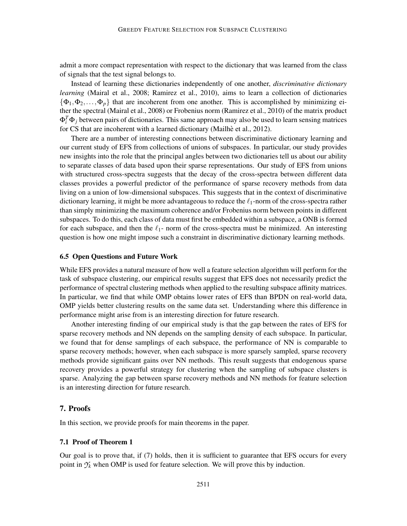admit a more compact representation with respect to the dictionary that was learned from the class of signals that the test signal belongs to.

Instead of learning these dictionaries independently of one another, *discriminative dictionary learning* (Mairal et al., 2008; Ramirez et al., 2010), aims to learn a collection of dictionaries  $\{\Phi_1, \Phi_2, \ldots, \Phi_p\}$  that are incoherent from one another. This is accomplished by minimizing either the spectral (Mairal et al., 2008) or Frobenius norm (Ramirez et al., 2010) of the matrix product  $\Phi_i^T \Phi_j$  between pairs of dictionaries. This same approach may also be used to learn sensing matrices for CS that are incoherent with a learned dictionary (Mailhè et al., 2012).

There are a number of interesting connections between discriminative dictionary learning and our current study of EFS from collections of unions of subspaces. In particular, our study provides new insights into the role that the principal angles between two dictionaries tell us about our ability to separate classes of data based upon their sparse representations. Our study of EFS from unions with structured cross-spectra suggests that the decay of the cross-spectra between different data classes provides a powerful predictor of the performance of sparse recovery methods from data living on a union of low-dimensional subspaces. This suggests that in the context of discriminative dictionary learning, it might be more advantageous to reduce the  $\ell_1$ -norm of the cross-spectra rather than simply minimizing the maximum coherence and/or Frobenius norm between points in different subspaces. To do this, each class of data must first be embedded within a subspace, a ONB is formed for each subspace, and then the  $\ell_1$ - norm of the cross-spectra must be minimized. An interesting question is how one might impose such a constraint in discriminative dictionary learning methods.

# 6.5 Open Questions and Future Work

While EFS provides a natural measure of how well a feature selection algorithm will perform for the task of subspace clustering, our empirical results suggest that EFS does not necessarily predict the performance of spectral clustering methods when applied to the resulting subspace affinity matrices. In particular, we find that while OMP obtains lower rates of EFS than BPDN on real-world data, OMP yields better clustering results on the same data set. Understanding where this difference in performance might arise from is an interesting direction for future research.

Another interesting finding of our empirical study is that the gap between the rates of EFS for sparse recovery methods and NN depends on the sampling density of each subspace. In particular, we found that for dense samplings of each subspace, the performance of NN is comparable to sparse recovery methods; however, when each subspace is more sparsely sampled, sparse recovery methods provide significant gains over NN methods. This result suggests that endogenous sparse recovery provides a powerful strategy for clustering when the sampling of subspace clusters is sparse. Analyzing the gap between sparse recovery methods and NN methods for feature selection is an interesting direction for future research.

#### 7. Proofs

In this section, we provide proofs for main theorems in the paper.

# 7.1 Proof of Theorem 1

Our goal is to prove that, if (7) holds, then it is sufficient to guarantee that EFS occurs for every point in  $\mathcal{Y}_k$  when OMP is used for feature selection. We will prove this by induction.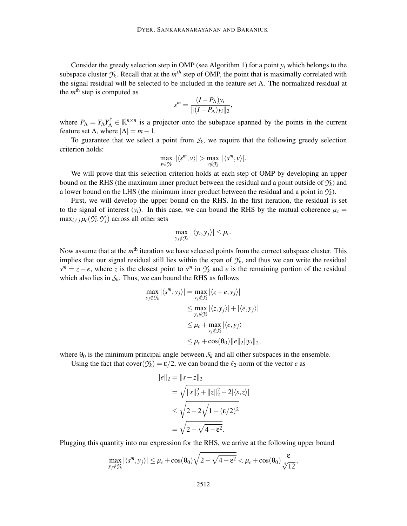Consider the greedy selection step in OMP (see Algorithm 1) for a point  $y_i$  which belongs to the subspace cluster  $\mathcal{Y}_k$ . Recall that at the  $m^{th}$  step of OMP, the point that is maximally correlated with the signal residual will be selected to be included in the feature set  $\Lambda$ . The normalized residual at the  $m<sup>th</sup>$  step is computed as

$$
s^m = \frac{(I - P_\Lambda)y_i}{\|(I - P_\Lambda)y_i\|_2},
$$

where  $P_{\Lambda} = Y_{\Lambda} Y_{\Lambda}^{\dagger} \in \mathbb{R}^{n \times n}$  is a projector onto the subspace spanned by the points in the current feature set  $\Lambda$ , where  $|\Lambda| = m - 1$ .

To guarantee that we select a point from  $S_k$ , we require that the following greedy selection criterion holds:

$$
\max_{v \in \mathcal{Y}_k} |\langle s^m, v \rangle| > \max_{v \notin \mathcal{Y}_k} |\langle s^m, v \rangle|.
$$

We will prove that this selection criterion holds at each step of OMP by developing an upper bound on the RHS (the maximum inner product between the residual and a point outside of *Yk*) and a lower bound on the LHS (the minimum inner product between the residual and a point in  $\mathcal{Y}_k$ ).

First, we will develop the upper bound on the RHS. In the first iteration, the residual is set to the signal of interest  $(y_i)$ . In this case, we can bound the RHS by the mutual coherence  $\mu_c =$  $\max_{i \neq j} \mu_c(\mathcal{Y}_i, \mathcal{Y}_j)$  across all other sets

$$
\max_{y_j \notin \mathcal{Y}_k} |\langle y_i, y_j \rangle| \leq \mu_c.
$$

Now assume that at the *m*<sup>th</sup> iteration we have selected points from the correct subspace cluster. This implies that our signal residual still lies within the span of  $\mathcal{Y}_k$ , and thus we can write the residual  $s^m = z + e$ , where *z* is the closest point to  $s^m$  in  $\mathcal{Y}_k$  and *e* is the remaining portion of the residual which also lies in  $S_k$ . Thus, we can bound the RHS as follows

$$
\max_{y_j \notin \mathcal{Y}_k} |\langle s^m, y_j \rangle| = \max_{y_j \notin \mathcal{Y}_k} |\langle z + e, y_j \rangle|
$$
  
\n
$$
\leq \max_{y_j \notin \mathcal{Y}_k} |\langle z, y_j \rangle| + |\langle e, y_j \rangle|
$$
  
\n
$$
\leq \mu_c + \max_{y_j \notin \mathcal{Y}_k} |\langle e, y_j \rangle|
$$
  
\n
$$
\leq \mu_c + \cos(\theta_0) ||e||_2 ||y_i||_2,
$$

where  $\theta_0$  is the minimum principal angle between  $S_k$  and all other subspaces in the ensemble.

Using the fact that  $cover(\mathcal{Y}_k) = \varepsilon/2$ , we can bound the  $\ell_2$ -norm of the vector *e* as

$$
||e||_2 = ||s - z||_2
$$
  
=  $\sqrt{||s||_2^2 + ||z||_2^2 - 2|\langle s, z \rangle|}$   
 $\le \sqrt{2 - 2\sqrt{1 - (\varepsilon/2)^2}}$   
=  $\sqrt{2 - \sqrt{4 - \varepsilon^2}}$ .

Plugging this quantity into our expression for the RHS, we arrive at the following upper bound

$$
\max_{y_j \notin \mathcal{Y}_k} |\langle s^m, y_j \rangle| \leq \mu_c + \cos(\theta_0) \sqrt{2 - \sqrt{4 - \varepsilon^2}} < \mu_c + \cos(\theta_0) \frac{\varepsilon}{\sqrt[4]{12}},
$$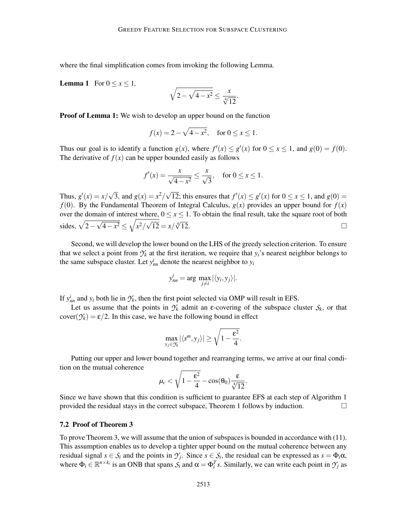where the final simplification comes from invoking the following Lemma.

**Lemma 1** For  $0 \le x \le 1$ ,

$$
\sqrt{2-\sqrt{4-x^2}} \le \frac{x}{\sqrt[4]{12}}.
$$

**Proof of Lemma 1:** We wish to develop an upper bound on the function

$$
f(x) = 2 - \sqrt{4 - x^2}
$$
, for  $0 \le x \le 1$ .

Thus our goal is to identify a function  $g(x)$ , where  $f'(x) \le g'(x)$  for  $0 \le x \le 1$ , and  $g(0) = f(0)$ . The derivative of  $f(x)$  can be upper bounded easily as follows

$$
f'(x) = \frac{x}{\sqrt{4 - x^2}} \le \frac{x}{\sqrt{3}}
$$
, for  $0 \le x \le 1$ .

Thus,  $g'(x) = x/\sqrt{3}$ , and  $g(x) = x^2/\sqrt{12}$ ; this ensures that  $f'(x) \le g'(x)$  for  $0 \le x \le 1$ , and  $g(0) =$ *f*(0). By the Fundamental Theorem of Integral Calculus,  $g(x)$  provides an upper bound for  $f(x)$ over the domain of interest where,  $0 \le x \le 1$ . To obtain the final result, take the square root of both sides,  $\sqrt{2 - \sqrt{4 - x^2}}$  ≤  $\sqrt{x^2 / \sqrt{12}}$  = *x*/ √  $\overline{12}$ .

Second, we will develop the lower bound on the LHS of the greedy selection criterion. To ensure that we select a point from  $\mathcal{Y}_k$  at the first iteration, we require that  $y_i$ 's nearest neighbor belongs to the same subspace cluster. Let  $y_{nn}^i$  denote the nearest neighbor to  $y_i$ 

$$
y_{nn}^i = \arg \max_{j \neq i} |\langle y_i, y_j \rangle|.
$$

If  $y_{nn}^i$  and  $y_i$  both lie in  $\mathcal{Y}_k$ , then the first point selected via OMP will result in EFS.

Let us assume that the points in  $\mathcal{Y}_k$  admit an  $\varepsilon$ -covering of the subspace cluster  $\mathcal{S}_k$ , or that  $\text{cover}(\gamma_k) = \varepsilon/2$ . In this case, we have the following bound in effect

$$
\max_{y_j \in \mathcal{Y}_k} |\langle s^m, y_j \rangle| \ge \sqrt{1 - \frac{\varepsilon^2}{4}}.
$$

Putting our upper and lower bound together and rearranging terms, we arrive at our final condition on the mutual coherence

$$
\mu_c < \sqrt{1 - \frac{\epsilon^2}{4}} - \cos(\theta_0) \frac{\epsilon}{\sqrt[4]{12}}.
$$

Since we have shown that this condition is sufficient to guarantee EFS at each step of Algorithm 1 provided the residual stays in the correct subspace, Theorem 1 follows by induction.  $\Box$ 

#### 7.2 Proof of Theorem 3

To prove Theorem 3, we will assume that the union of subspaces is bounded in accordance with (11). This assumption enables us to develop a tighter upper bound on the mutual coherence between any residual signal  $s \in S_i$  and the points in  $\mathcal{Y}_j$ . Since  $s \in S_i$ , the residual can be expressed as  $s = \Phi_i \alpha$ , where  $\Phi_i \in \mathbb{R}^{n \times k_i}$  is an ONB that spans  $S_i$  and  $\alpha = \Phi_i^T s$ . Similarly, we can write each point in  $\mathcal{Y}_j$  as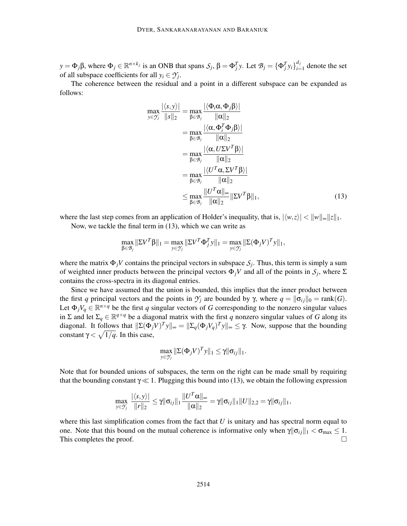*y* =  $\Phi_j$ β, where  $\Phi_j \in \mathbb{R}^{n \times k_j}$  is an ONB that spans  $S_j$ , β =  $\Phi_j^T y$ . Let  $\mathcal{B}_j = {\Phi_j^T y_i}_{i=1}^{d_j}$  $\binom{a_j}{i=1}$  denote the set of all subspace coefficients for all  $y_i \in \mathcal{Y}_j$ .

The coherence between the residual and a point in a different subspace can be expanded as follows:

$$
\max_{y \in \mathcal{Y}_j} \frac{|\langle s, y \rangle|}{\|s\|_2} = \max_{\beta \in \mathcal{B}_j} \frac{|\langle \Phi_i \alpha, \Phi_j \beta \rangle|}{\| \alpha \|_2}
$$
  
\n
$$
= \max_{\beta \in \mathcal{B}_j} \frac{|\langle \alpha, \Phi_i^T \Phi_j \beta \rangle|}{\| \alpha \|_2}
$$
  
\n
$$
= \max_{\beta \in \mathcal{B}_j} \frac{|\langle \alpha, U\Sigma V^T \beta \rangle|}{\| \alpha \|_2}
$$
  
\n
$$
= \max_{\beta \in \mathcal{B}_j} \frac{|\langle U^T \alpha, \Sigma V^T \beta \rangle|}{\| \alpha \|_2}
$$
  
\n
$$
\leq \max_{\beta \in \mathcal{B}_j} \frac{\| U^T \alpha \|_{\infty}}{\| \alpha \|_2} \| \Sigma V^T \beta \|_1,
$$
 (13)

where the last step comes from an application of Holder's inequality, that is,  $|\langle w, z \rangle| < |w||_{\infty} ||z||_1$ .

Now, we tackle the final term in (13), which we can write as

$$
\max_{\beta \in \mathcal{B}_j} \|\Sigma V^T \beta\|_1 = \max_{y \in \mathcal{Y}_j} \|\Sigma V^T \Phi_j^T y\|_1 = \max_{y \in \mathcal{Y}_j} \|\Sigma (\Phi_j V)^T y\|_1,
$$

where the matrix  $\Phi_j V$  contains the principal vectors in subspace  $S_j$ . Thus, this term is simply a sum of weighted inner products between the principal vectors  $\Phi_j V$  and all of the points in  $S_j$ , where  $\Sigma$ contains the cross-spectra in its diagonal entries.

Since we have assumed that the union is bounded, this implies that the inner product between the first *q* principal vectors and the points in  $\mathcal{Y}_i$  are bounded by  $\gamma$ , where  $q = ||\sigma_{ij}||_0 = \text{rank}(G)$ . Let  $\Phi_j V_q \in \mathbb{R}^{n \times q}$  be the first *q* singular vectors of *G* corresponding to the nonzero singular values in  $\Sigma$  and let  $\Sigma_q \in \mathbb{R}^{q \times q}$  be a diagonal matrix with the first *q* nonzero singular values of *G* along its diagonal. It follows that  $\|\Sigma(\Phi_j V)^T y\|_{\infty} = \|\Sigma_q(\Phi_j V_q)^T y\|_{\infty} \leq \gamma$ . Now, suppose that the bounding constant  $\gamma < \sqrt{1/q}$ . In this case,

$$
\max_{y \in \mathcal{Y}_j} \|\Sigma(\Phi_j V)^T y\|_1 \leq \gamma \|\sigma_{ij}\|_1.
$$

Note that for bounded unions of subspaces, the term on the right can be made small by requiring that the bounding constant  $\gamma \ll 1$ . Plugging this bound into (13), we obtain the following expression

$$
\max_{y \in \mathcal{Y}_j} \frac{|\langle s, y \rangle|}{\|r\|_2} \leq \gamma \|\sigma_{ij}\|_1 \frac{\|U^T \alpha\|_{\infty}}{\| \alpha \|_2} = \gamma \|\sigma_{ij}\|_1 \|U\|_{2,2} = \gamma \|\sigma_{ij}\|_1,
$$

where this last simplification comes from the fact that *U* is unitary and has spectral norm equal to one. Note that this bound on the mutual coherence is informative only when  $\gamma \|\sigma_{ij}\|_1 < \sigma_{\text{max}} \leq 1$ .<br>This completes the proof. This completes the proof.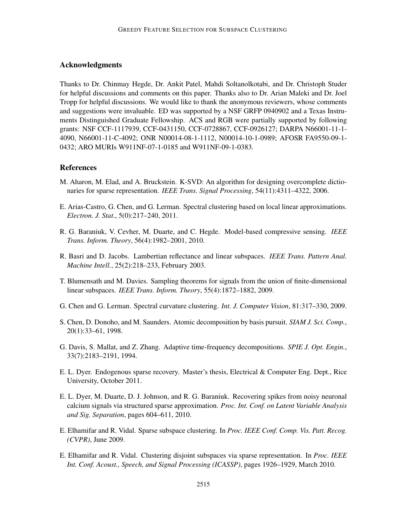# Acknowledgments

Thanks to Dr. Chinmay Hegde, Dr. Ankit Patel, Mahdi Soltanolkotabi, and Dr. Christoph Studer for helpful discussions and comments on this paper. Thanks also to Dr. Arian Maleki and Dr. Joel Tropp for helpful discussions. We would like to thank the anonymous reviewers, whose comments and suggestions were invaluable. ED was supported by a NSF GRFP 0940902 and a Texas Instruments Distinguished Graduate Fellowship. ACS and RGB were partially supported by following grants: NSF CCF-1117939, CCF-0431150, CCF-0728867, CCF-0926127; DARPA N66001-11-1- 4090, N66001-11-C-4092; ONR N00014-08-1-1112, N00014-10-1-0989; AFOSR FA9550-09-1- 0432; ARO MURIs W911NF-07-1-0185 and W911NF-09-1-0383.

# References

- M. Aharon, M. Elad, and A. Bruckstein. K-SVD: An algorithm for designing overcomplete dictionaries for sparse representation. *IEEE Trans. Signal Processing*, 54(11):4311–4322, 2006.
- E. Arias-Castro, G. Chen, and G. Lerman. Spectral clustering based on local linear approximations. *Electron. J. Stat.*, 5(0):217–240, 2011.
- R. G. Baraniuk, V. Cevher, M. Duarte, and C. Hegde. Model-based compressive sensing. *IEEE Trans. Inform. Theory*, 56(4):1982–2001, 2010.
- R. Basri and D. Jacobs. Lambertian reflectance and linear subspaces. *IEEE Trans. Pattern Anal. Machine Intell.*, 25(2):218–233, February 2003.
- T. Blumensath and M. Davies. Sampling theorems for signals from the union of finite-dimensional linear subspaces. *IEEE Trans. Inform. Theory*, 55(4):1872–1882, 2009.
- G. Chen and G. Lerman. Spectral curvature clustering. *Int. J. Computer Vision*, 81:317–330, 2009.
- S. Chen, D. Donoho, and M. Saunders. Atomic decomposition by basis pursuit. *SIAM J. Sci. Comp.*, 20(1):33–61, 1998.
- G. Davis, S. Mallat, and Z. Zhang. Adaptive time-frequency decompositions. *SPIE J. Opt. Engin.*, 33(7):2183–2191, 1994.
- E. L. Dyer. Endogenous sparse recovery. Master's thesis, Electrical & Computer Eng. Dept., Rice University, October 2011.
- E. L. Dyer, M. Duarte, D. J. Johnson, and R. G. Baraniuk. Recovering spikes from noisy neuronal calcium signals via structured sparse approximation. *Proc. Int. Conf. on Latent Variable Analysis and Sig. Separation*, pages 604–611, 2010.
- E. Elhamifar and R. Vidal. Sparse subspace clustering. In *Proc. IEEE Conf. Comp. Vis. Patt. Recog. (CVPR)*, June 2009.
- E. Elhamifar and R. Vidal. Clustering disjoint subspaces via sparse representation. In *Proc. IEEE Int. Conf. Acoust., Speech, and Signal Processing (ICASSP)*, pages 1926–1929, March 2010.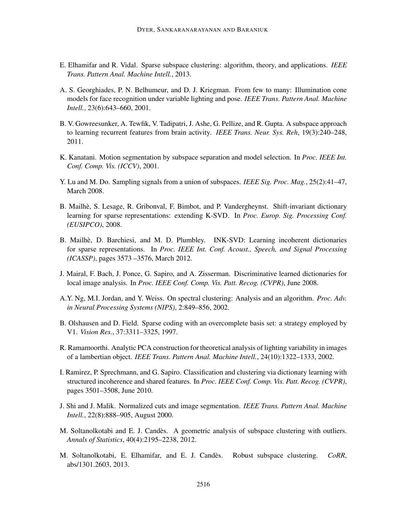- E. Elhamifar and R. Vidal. Sparse subspace clustering: algorithm, theory, and applications. *IEEE Trans. Pattern Anal. Machine Intell.*, 2013.
- A. S. Georghiades, P. N. Belhumeur, and D. J. Kriegman. From few to many: Illumination cone models for face recognition under variable lighting and pose. *IEEE Trans. Pattern Anal. Machine Intell.*, 23(6):643–660, 2001.
- B. V. Gowreesunker, A. Tewfik, V. Tadipatri, J. Ashe, G. Pellize, and R. Gupta. A subspace approach to learning recurrent features from brain activity. *IEEE Trans. Neur. Sys. Reh*, 19(3):240–248, 2011.
- K. Kanatani. Motion segmentation by subspace separation and model selection. In *Proc. IEEE Int. Conf. Comp. Vis. (ICCV)*, 2001.
- Y. Lu and M. Do. Sampling signals from a union of subspaces. *IEEE Sig. Proc. Mag.*, 25(2):41–47, March 2008.
- B. Mailhè, S. Lesage, R. Gribonval, F. Bimbot, and P. Vandergheynst. Shift-invariant dictionary learning for sparse representations: extending K-SVD. In *Proc. Europ. Sig. Processing Conf. (EUSIPCO)*, 2008.
- B. Mailhè, D. Barchiesi, and M. D. Plumbley. INK-SVD: Learning incoherent dictionaries for sparse representations. In *Proc. IEEE Int. Conf. Acoust., Speech, and Signal Processing (ICASSP)*, pages 3573 –3576, March 2012.
- J. Mairal, F. Bach, J. Ponce, G. Sapiro, and A. Zisserman. Discriminative learned dictionaries for local image analysis. In *Proc. IEEE Conf. Comp. Vis. Patt. Recog. (CVPR)*, June 2008.
- A.Y. Ng, M.I. Jordan, and Y. Weiss. On spectral clustering: Analysis and an algorithm. *Proc. Adv. in Neural Processing Systems (NIPS)*, 2:849–856, 2002.
- B. Olshausen and D. Field. Sparse coding with an overcomplete basis set: a strategy employed by V1. *Vision Res.*, 37:3311–3325, 1997.
- R. Ramamoorthi. Analytic PCA construction for theoretical analysis of lighting variability in images of a lambertian object. *IEEE Trans. Pattern Anal. Machine Intell.*, 24(10):1322–1333, 2002.
- I. Ramirez, P. Sprechmann, and G. Sapiro. Classification and clustering via dictionary learning with structured incoherence and shared features. In *Proc. IEEE Conf. Comp. Vis. Patt. Recog. (CVPR)*, pages 3501–3508, June 2010.
- J. Shi and J. Malik. Normalized cuts and image segmentation. *IEEE Trans. Pattern Anal. Machine Intell.*, 22(8):888–905, August 2000.
- M. Soltanolkotabi and E. J. Candes. A geometric analysis of subspace clustering with outliers. ` *Annals of Statistics*, 40(4):2195–2238, 2012.
- M. Soltanolkotabi, E. Elhamifar, and E. J. Candes. Robust subspace clustering. ` *CoRR*, abs/1301.2603, 2013.